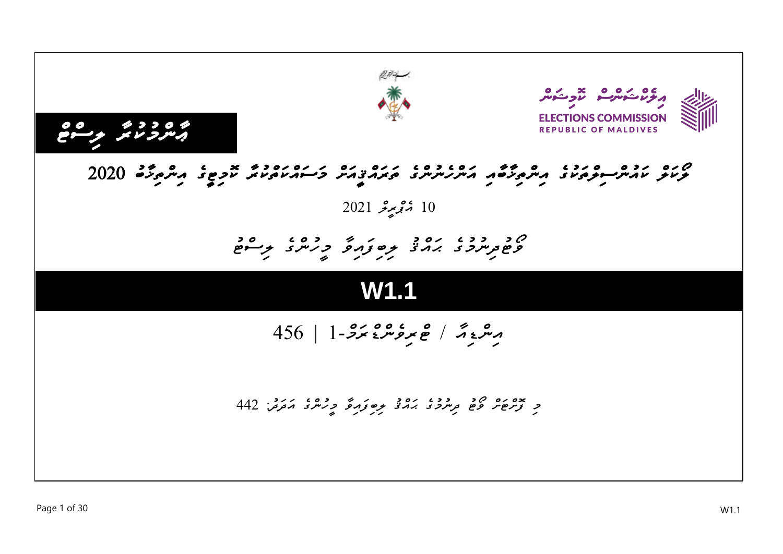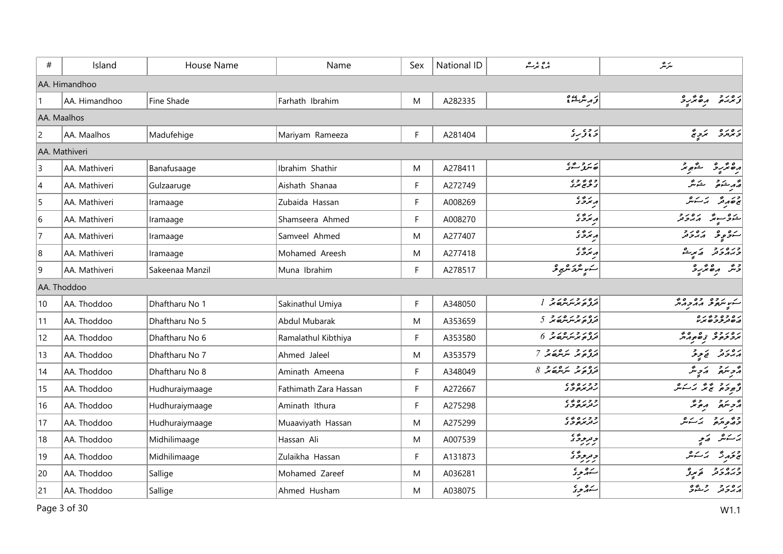| #               | Island        | House Name      | Name                  | Sex       | National ID | ، ه ، بر <u>م</u>                    | ىئرىتر                            |
|-----------------|---------------|-----------------|-----------------------|-----------|-------------|--------------------------------------|-----------------------------------|
|                 | AA. Himandhoo |                 |                       |           |             |                                      |                                   |
|                 | AA. Himandhoo | Fine Shade      | Farhath Ibrahim       | M         | A282335     | ىز مەھرىيىق                          | و در ده می د                      |
|                 | AA. Maalhos   |                 |                       |           |             |                                      |                                   |
| 2               | AA. Maalhos   | Madufehige      | Mariyam Rameeza       | F         | A281404     | 5 ج تور ء                            | د ۱۵ د مر پر                      |
|                 | AA. Mathiveri |                 |                       |           |             |                                      |                                   |
| 3               | AA. Mathiveri | Banafusaage     | Ibrahim Shathir       | M         | A278411     | پر پر دیږي<br>ت <i>ره متر</i> ک      | ە ھەترىر <i>2</i><br>ستگهر تر     |
| 4               | AA. Mathiveri | Gulzaaruge      | Aishath Shanaa        | F         | A272749     | د ه پر د ء<br>د نژيخ برد             | أمام وأسكر وأنتقل                 |
| $\overline{5}$  | AA. Mathiveri | Iramaage        | Zubaida Hassan        | F         | A008269     | ە ئىرىخ ئ                            | تم قەرىر كەسكىر                   |
| $6\overline{6}$ | AA. Mathiveri | Iramaage        | Shamseera Ahmed       | F         | A008270     | ر بر بر بر<br>در برگر <sub>ک</sub> ر | شكى سورى ئەرەر د                  |
| $\overline{7}$  | AA. Mathiveri | Iramaage        | Samveel Ahmed         | M         | A277407     | و پروی                               | كورو رورد                         |
| 8               | AA. Mathiveri | Iramaage        | Mohamed Areesh        | M         | A277418     | دېمزد د                              | ورەرو كەيدى                       |
| 9               | AA. Mathiveri | Sakeenaa Manzil | Muna Ibrahim          | F         | A278517     | سەر ئىرىگىرىنى ئى                    | ديمر موه پر د                     |
|                 | AA. Thoddoo   |                 |                       |           |             |                                      |                                   |
| 10              | AA. Thoddoo   | Dhaftharu No 1  | Sakinathul Umiya      | F         | A348050     | رەر دىرەر دېدا                       | בע מבש כם סב                      |
| 11              | AA. Thoddoo   | Dhaftharu No 5  | Abdul Mubarak         | M         | A353659     | رە رورورى<br>ترزە پرس سى ك           | ر ه و ه و و ر ه<br>پره تر تر تر ت |
| 12              | AA. Thoddoo   | Dhaftharu No 6  | Ramalathul Kibthiya   | F         | A353580     | رە رورە روز                          | بروبروه وهواراد                   |
| $ 13\rangle$    | AA. Thoddoo   | Dhaftharu No 7  | Ahmed Jaleel          | M         | A353579     | رەرد برەرد 7                         | پروتر کے پیگر                     |
| 14              | AA. Thoddoo   | Dhaftharu No 8  | Aminath Ameena        | F         | A348049     | رەر دېرى كەن                         | أزويتم أأزويتر                    |
| 15              | AA. Thoddoo   | Hudhuraiymaage  | Fathimath Zara Hassan | F         | A272667     |                                      | و دو وو دره<br>زوده مي برگ        |
| 16              | AA. Thoddoo   | Hudhuraiymaage  | Aminath Ithura        | F         | A275298     | و و ر ه ه »<br>ر تر برج ژ ی          | أزوينهم وهومر                     |
| 17              | AA. Thoddoo   | Hudhuraiymaage  | Muaaviyath Hassan     | M         | A275299     | و و ر ه و »<br>ر تو پرچ و ی          |                                   |
| 18              | AA. Thoddoo   | Midhilimaage    | Hassan Ali            | ${\sf M}$ | A007539     | ا و ترویج<br>ا و ترویجی              | پرسترس کامی                       |
| 19              | AA. Thoddoo   | Midhilimaage    | Zulaikha Hassan       | F         | A131873     | او ترووي<br>ا <u>د ترووي</u>         | يحكيرنث الكاسكس                   |
| 20              | AA. Thoddoo   | Sallige         | Mohamed Zareef        | M         | A036281     | سەھرىي                               | وره دو دره                        |
| 21              | AA. Thoddoo   | Sallige         | Ahmed Husham          | M         | A038075     | يەھ بەي                              | رەرو رىقو                         |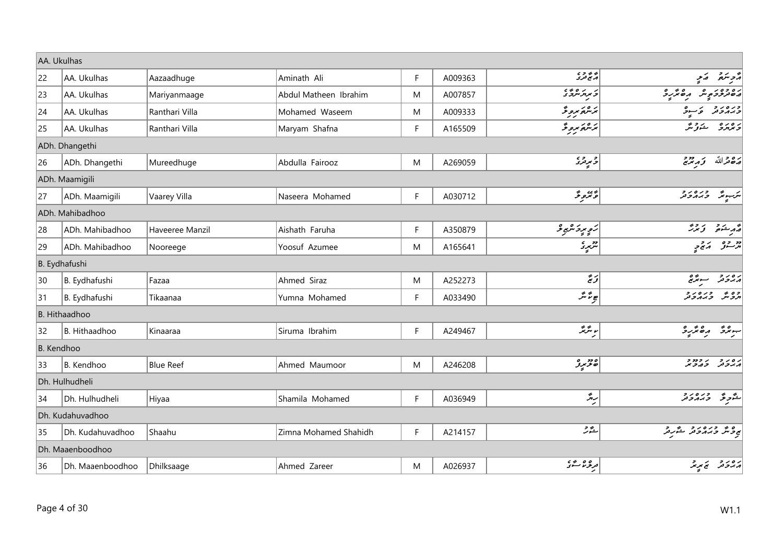|            | AA. Ukulhas      |                  |                       |             |         |                                                  |                                    |
|------------|------------------|------------------|-----------------------|-------------|---------|--------------------------------------------------|------------------------------------|
| 22         | AA. Ukulhas      | Aazaadhuge       | Aminath Ali           | F           | A009363 | پر بیچ تر <sub>ی</sub><br>  پر سچ تعری           | أأترجع أتأمي                       |
| 23         | AA. Ukulhas      | Mariyanmaage     | Abdul Matheen Ibrahim | M           | A007857 | پر پر ۱۵ پر پر<br>  پر پیر بردی                  | גם כפנים הפינים                    |
| 24         | AA. Ukulhas      | Ranthari Villa   | Mohamed Waseem        | M           | A009333 | برمر يمرو څه                                     | ورەر د كەسو                        |
| 25         | AA. Ukulhas      | Ranthari Villa   | Maryam Shafna         | F           | A165509 | برمره كالمروثر                                   | رەرە شۆرش                          |
|            | ADh. Dhangethi   |                  |                       |             |         |                                                  |                                    |
| 26         | ADh. Dhangethi   | Mureedhuge       | Abdulla Fairooz       | M           | A269059 | و <sub>مو</sub> تر و ،<br>تر م <sub>و</sub> تر د | برە قراللە ئەربىرىم                |
|            | ADh. Maamigili   |                  |                       |             |         |                                                  |                                    |
| 27         | ADh. Maamigili   | Vaarey Villa     | Naseera Mohamed       | $\mathsf F$ | A030712 | ۇ ئۈچە ئۇ                                        | بترسوش وبره رو                     |
|            | ADh. Mahibadhoo  |                  |                       |             |         |                                                  |                                    |
| 28         | ADh. Mahibadhoo  | Haveeree Manzil  | Aishath Faruha        | F           | A350879 | رَ <sub>ڡٟ</sub> ؠڔۏؘٮٮ۠ <sub>ػ</sub> ؚۅ۠        | أشهر شده وتروم                     |
| 29         | ADh. Mahibadhoo  | Nooreege         | Yoosuf Azumee         | M           | A165641 | دد<br>سرسری                                      | וק כם גב<br>ת—נצ                   |
|            | B. Eydhafushi    |                  |                       |             |         |                                                  |                                    |
| 30         | B. Eydhafushi    | Fazaa            | Ahmed Siraz           | M           | A252273 | ترتج                                             | أرور و سوبرج                       |
| 31         | B. Eydhafushi    | Tikaanaa         | Yumna Mohamed         | F           | A033490 | اءِ پُنگ                                         | وه بر وره د و<br>مرو شر و برمرو تر |
|            | B. Hithaadhoo    |                  |                       |             |         |                                                  |                                    |
| 32         | B. Hithaadhoo    | Kinaaraa         | Siruma Ibrahim        | $\mathsf F$ | A249467 | ىرىئەتە                                          | برە ئۆرۈ<br>اسوټرنځ<br>په          |
| B. Kendhoo |                  |                  |                       |             |         |                                                  |                                    |
| 33         | B. Kendhoo       | <b>Blue Reef</b> | Ahmed Maumoor         | M           | A246208 | ه دو په ه<br>حام په تو                           | ג סג כ ג כמבי<br>ג ג ב ג ב ג ב ב ג |
|            | Dh. Hulhudheli   |                  |                       |             |         |                                                  |                                    |
| 34         | Dh. Hulhudheli   | Hiyaa            | Shamila Mohamed       | F           | A036949 | ىرەتە                                            | شوق ورەرو                          |
|            | Dh. Kudahuvadhoo |                  |                       |             |         |                                                  |                                    |
| 35         | Dh. Kudahuvadhoo | Shaahu           | Zimna Mohamed Shahidh | $\mathsf F$ | A214157 | ے جم                                             | ە ئەرەرە ھەرىپە دەر                |
|            | Dh. Maaenboodhoo |                  |                       |             |         |                                                  |                                    |
| 36         | Dh. Maaenboodhoo | Dhilksaage       | Ahmed Zareer          | M           | A026937 | درو ۵ شوی                                        | دەر دېم توپر                       |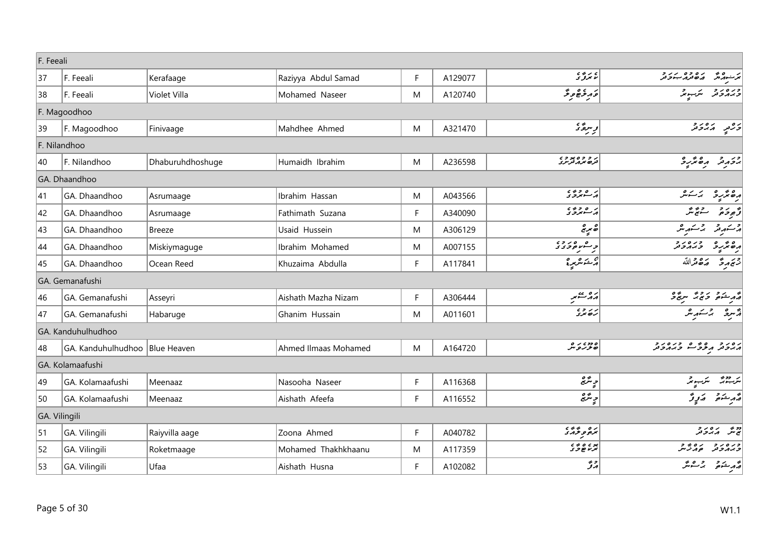| F. Feeali     |                                  |                  |                      |           |         |                                            |                                                           |
|---------------|----------------------------------|------------------|----------------------|-----------|---------|--------------------------------------------|-----------------------------------------------------------|
| 37            | F. Feeali                        | Kerafaage        | Raziyya Abdul Samad  | F         | A129077 | ې پر پر په<br>ما بنوتو ت                   | ر ده ده ده ده در د<br>بر زدارش از ده در ۸ سور در          |
| 38            | F. Feeali                        | Violet Villa     | Mohamed Naseer       | M         | A120740 | دَرِ دِ هِ هِ دَّ                          | ورەرو شبىر                                                |
|               | F. Magoodhoo                     |                  |                      |           |         |                                            |                                                           |
| 39            | F. Magoodhoo                     | Finivaage        | Mahdhee Ahmed        | M         | A321470 | وسرچری                                     | ده په ۲۶۲۲ ور                                             |
|               | F. Nilandhoo                     |                  |                      |           |         |                                            |                                                           |
| 40            | F. Nilandhoo                     | Dhaburuhdhoshuge | Humaidh Ibrahim      | M         | A236598 | ر و و ه پر و ء<br>تر <i>ه بر د تر بر</i> و | بردرير رەپرىد                                             |
|               | GA. Dhaandhoo                    |                  |                      |           |         |                                            |                                                           |
| 41            | GA. Dhaandhoo                    | Asrumaage        | Ibrahim Hassan       | M         | A043566 | ر ۱۵۶۵ و.<br>مرسوموری                      | رەپزىر بىسكى                                              |
| 42            | GA. Dhaandhoo                    | Asrumaage        | Fathimath Suzana     | F         | A340090 | بر ۵ ۶ ۶ ۹<br>مرسوبوری                     | ۇ بورۇ يەيدۇر                                             |
| 43            | GA. Dhaandhoo                    | <b>Breeze</b>    | Usaid Hussein        | M         | A306129 | ھ برج<br>                                  | ەسىر ئەسىر ئى                                             |
| 44            | GA. Dhaandhoo                    | Miskiymaguge     | Ibrahim Mohamed      | ${\sf M}$ | A007155 |                                            |                                                           |
| 45            | GA. Dhaandhoo                    | Ocean Reed       | Khuzaima Abdulla     | F         | A117841 | لرمشه مثربر ؟                              | تجنم وتحت مَدْهَ قَدْ اللّه                               |
|               | GA. Gemanafushi                  |                  |                      |           |         |                                            |                                                           |
| 46            | GA. Gemanafushi                  | Asseyri          | Aishath Mazha Nizam  | F         | A306444 | اړه سيمبر                                  |                                                           |
| 47            | GA. Gemanafushi                  | Habaruge         | Ghanim Hussain       | ${\sf M}$ | A011601 | ر ر د ه<br>ره مرد                          | ۇسىدە جەسىمبىر                                            |
|               | GA. Kanduhulhudhoo               |                  |                      |           |         |                                            |                                                           |
| 48            | GA. Kanduhulhudhoo   Blue Heaven |                  | Ahmed Ilmaas Mohamed | ${\sf M}$ | A164720 | ه دوی ر ه<br><i>ه مور</i> ه مگر            | גם גב בשם כגם גב<br>גגבת גבב ב בגגבת                      |
|               | GA. Kolamaafushi                 |                  |                      |           |         |                                            |                                                           |
| 49            | GA. Kolamaafushi                 | Meenaaz          | Nasooha Naseer       | F         | A116368 | حريثره                                     | للرجية الكرينية.<br>الرجية الكرينية<br>الأمر شكوة الكريرة |
| 50            | GA. Kolamaafushi                 | Meenaaz          | Aishath Afeefa       | F         | A116552 | جريثرمج                                    |                                                           |
| GA. Vilingili |                                  |                  |                      |           |         |                                            |                                                           |
| 51            | GA. Vilingili                    | Raiyvilla aage   | Zoona Ahmed          | F         | A040782 | ر ه<br>بر <sub>گ</sub> وم څه د             | دو پره رو<br>مح کر کرکر کر                                |
| 52            | GA. Vilingili                    | Roketmaage       | Mohamed Thakhkhaanu  | M         | A117359 | پر ی ه پر ی<br>تر را جا تر ی               | ورەرو رەپەر                                               |
| 53            | GA. Vilingili                    | Ufaa             | Aishath Husna        | F         | A102082 | پۇ                                         | ۇرىشكى برگىش                                              |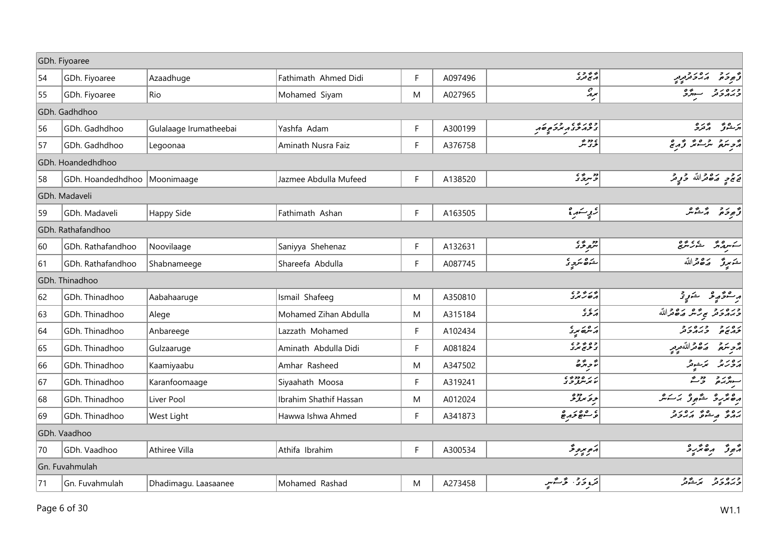|    | GDh. Fiyoaree                  |                        |                        |    |         |                                |                                                                                                                                                    |
|----|--------------------------------|------------------------|------------------------|----|---------|--------------------------------|----------------------------------------------------------------------------------------------------------------------------------------------------|
| 54 | GDh. Fiyoaree                  | Azaadhuge              | Fathimath Ahmed Didi   | F  | A097496 | ږ د د ،<br>د ځ تر د            |                                                                                                                                                    |
| 55 | GDh. Fiyoaree                  | Rio                    | Mohamed Siyam          | M  | A027965 | بورم                           | محدود مدور و در در در در این<br>توجه در مدور در در این<br>توبر در در در در در این در این در این در این در این در این در این در این در این در این د |
|    | GDh. Gadhdhoo                  |                        |                        |    |         |                                |                                                                                                                                                    |
| 56 | GDh. Gadhdhoo                  | Gulalaage Irumatheebai | Yashfa Adam            | F. | A300199 | اده روی در در موضوع در         | پرے پی پر پر پر پر                                                                                                                                 |
| 57 | GDh. Gadhdhoo                  | Legoonaa               | Aminath Nusra Faiz     | F. | A376758 | ه دد بر<br>موی س               | أأروسهم سرسوند والمجم                                                                                                                              |
|    | GDh. Hoandedhdhoo              |                        |                        |    |         |                                |                                                                                                                                                    |
| 58 | GDh. Hoandedhdhoo   Moonimaage |                        | Jazmee Abdulla Mufeed  | F. | A138520 | ادو پروند<br>  د سرچرۍ         | يَ جَرِ – مَ هُ مَرْاللّهِ – حَرِ مَرْ                                                                                                             |
|    | GDh. Madaveli                  |                        |                        |    |         |                                |                                                                                                                                                    |
| 59 | GDh. Madaveli                  | Happy Side             | Fathimath Ashan        | F. | A163505 | <sup>ى</sup> بوسىھە ؟          | ژوده ژشتر                                                                                                                                          |
|    | GDh. Rathafandhoo              |                        |                        |    |         |                                |                                                                                                                                                    |
| 60 | GDh. Rathafandhoo              | Noovilaage             | Saniyya Shehenaz       | F. | A132631 | دو په په<br>سرچ دی             |                                                                                                                                                    |
| 61 | GDh. Rathafandhoo              | Shabnameege            | Shareefa Abdulla       | F. | A087745 | شەھ سرىر ئ                     | خومرتر كانكار                                                                                                                                      |
|    | GDh. Thinadhoo                 |                        |                        |    |         |                                |                                                                                                                                                    |
| 62 | GDh. Thinadhoo                 | Aabahaaruge            | Ismail Shafeeg         | M  | A350810 | ه ربه و ،<br>د ځار د د         | أبر سىق موقى مىتور قى                                                                                                                              |
| 63 | GDh. Thinadhoo                 | Alege                  | Mohamed Zihan Abdulla  | M  | A315184 | ر ۽ ۽<br>مرڪزي                 | وره رو بر محمد محددالله                                                                                                                            |
| 64 | GDh. Thinadhoo                 | Anbareege              | Lazzath Mohamed        | F  | A102434 | بر مر <sub>ک</sub> تعری        | נסנד בנסנד<br>בגאשים בג'ובט                                                                                                                        |
| 65 | GDh. Thinadhoo                 | Gulzaaruge             | Aminath Abdulla Didi   | F. | A081824 | و ه پر و ،<br>د نژيخ بود       | أشجر سنعو المتصريح الله معيد                                                                                                                       |
| 66 | GDh. Thinadhoo                 | Kaamiyaabu             | Amhar Rasheed          | M  | A347502 | ش پر دی<br>ما <del>ر</del> دره | ره ر و محر شوند<br>  د تر رسم محر شوند                                                                                                             |
| 67 | GDh. Thinadhoo                 | Karanfoomaage          | Siyaahath Moosa        | F  | A319241 | ر ر ه دوه ،<br>ما برس و د د    | سودر دور                                                                                                                                           |
| 68 | GDh. Thinadhoo                 | Liver Pool             | Ibrahim Shathif Hassan | M  | A012024 | موءَ مرزُ پُر                  | مەر ئەر ئۇمۇق بەسىر                                                                                                                                |
| 69 | GDh. Thinadhoo                 | West Light             | Hawwa Ishwa Ahmed      | F  | A341873 | ومشوع ترميع                    | رەپ مەشوكەرەر د                                                                                                                                    |
|    | GDh. Vaadhoo                   |                        |                        |    |         |                                |                                                                                                                                                    |
| 70 | GDh. Vaadhoo                   | Athiree Villa          | Athifa Ibrahim         | F. | A300534 | رَمو مرِهِ مَرَّ               | أموز مقترد                                                                                                                                         |
|    | Gn. Fuvahmulah                 |                        |                        |    |         |                                |                                                                                                                                                    |
| 71 | Gn. Fuvahmulah                 | Dhadimagu. Laasaanee   | Mohamed Rashad         | M  | A273458 | تروزى تۇشپر                    | ورەر د برخود<br><i>دى</i> رمەد برخود                                                                                                               |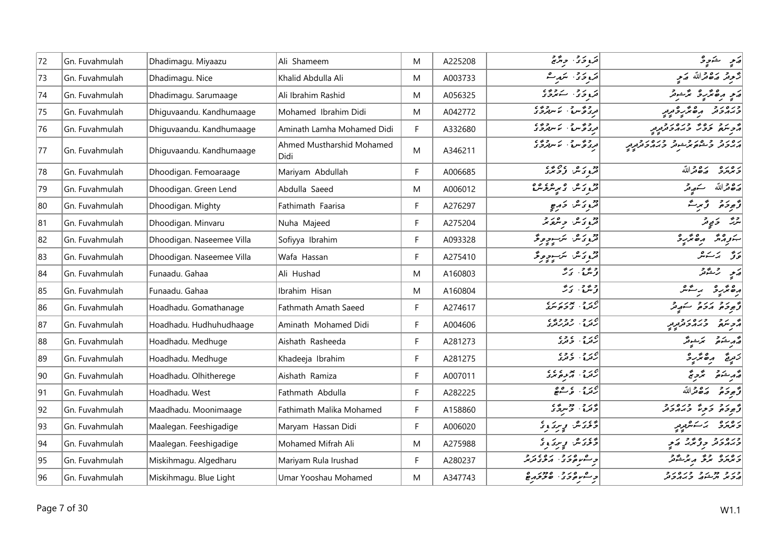| 72 | Gn. Fuvahmulah | Dhadimagu. Miyaazu        | Ali Shameem                       | M         | A225208 | تَدَوِجُونَ وَيَرْتَجُ                                  | ړَ په شو د د                                            |
|----|----------------|---------------------------|-----------------------------------|-----------|---------|---------------------------------------------------------|---------------------------------------------------------|
| 73 | Gn. Fuvahmulah | Dhadimagu. Nice           | Khalid Abdulla Ali                | ${\sf M}$ | A003733 | تروتری- سکرے                                            | شَعِيْرَ صَدْرَاللّهِ صَعِي                             |
| 74 | Gn. Fuvahmulah | Dhadimagu. Sarumaage      | Ali Ibrahim Rashid                | M         | A056325 | تروخون سكرونوي                                          | أزو رەترىرو ترىدۇر                                      |
| 75 | Gn. Fuvahmulah | Dhiguvaandu. Kandhumaage  | Mohamed Ibrahim Didi              | M         | A042772 | و د ه گامو <sup>2</sup> . که موټر <del>و</del> د        | ورەرو مەشرەترىر                                         |
| 76 | Gn. Fuvahmulah | Dhiguvaandu. Kandhumaage  | Aminath Lamha Mohamed Didi        | F         | A332680 | مرد څه سرق که سرمرح د                                   | ه دره ده و ده در د.<br>مرد شي نروز و پر دو ترتريز       |
| 77 | Gn. Fuvahmulah | Dhiguvaandu. Kandhumaage  | Ahmed Mustharshid Mohamed<br>Didi | ${\sf M}$ | A346211 | و ده ده .<br>کرد و سره . که سربرو د                     | ره روح وه روح وره روح<br>مدون و شمې مرشونر و برماونږيږي |
| 78 | Gn. Fuvahmulah | Dhoodigan. Femoaraage     | Mariyam Abdullah                  | F         | A006685 | دو بر می می ده و با<br>  ترو بر ش کو تر تر تر           | ومره ره والله                                           |
| 79 | Gn. Fuvahmulah | Dhoodigan. Green Lend     | Abdulla Saeed                     | ${\sf M}$ | A006012 | دو بره په وړه وه وه                                     | 20 مرالله <i>شمی</i> تر                                 |
| 80 | Gn. Fuvahmulah | Dhoodigan. Mighty         | Fathimath Faarisa                 | F         | A276297 | قروئر محمر يو                                           | أوالمجاورة والمحارب                                     |
| 81 | Gn. Fuvahmulah | Dhoodigan. Minvaru        | Nuha Majeed                       | F         | A275204 | ودير مراجع برديد                                        | پژر ځې تو                                               |
| 82 | Gn. Fuvahmulah | Dhoodigan. Naseemee Villa | Sofiyya Ibrahim                   | F         | A093328 | قروبر مكر سوج وبحر                                      | ينورش رە ئۆرى                                           |
| 83 | Gn. Fuvahmulah | Dhoodigan. Naseemee Villa | Wafa Hassan                       | F         | A275410 | قروئە مىز سوھ بۇ                                        | رو برستاند                                              |
| 84 | Gn. Fuvahmulah | Funaadu. Gahaa            | Ali Hushad                        | M         | A160803 | و پوځ .<br>توسیع ، اندې                                 | أەر ئەشقى                                               |
| 85 | Gn. Fuvahmulah | Funaadu. Gahaa            | Ibrahim Hisan                     | M         | A160804 | و پوځ . او په                                           | رەنزىر بىر ئىر                                          |
| 86 | Gn. Fuvahmulah | Hoadhadu. Gomathanage     | Fathmath Amath Saeed              | F         | A274617 | چر و مور پر ره<br>  رکولو کا می خواهی ملک               | وٌ و د د د د د مرد                                      |
| 87 | Gn. Fuvahmulah | Hoadhadu. Hudhuhudhaage   | Aminath Mohamed Didi              | F         | A004606 | ج ر و  وو و » »<br>رفر ۽  رفررفري                       | הכית כמחכתתת                                            |
| 88 | Gn. Fuvahmulah | Hoadhadu. Medhuge         | Aishath Rasheeda                  | F         | A281273 | ج ر و .<br>رفر ۽ .   وفري                               | مەرىشى ئىر                                              |
| 89 | Gn. Fuvahmulah | Hoadhadu. Medhuge         | Khadeeja Ibrahim                  | F         | A281275 | ج ر و  و و ء<br>  رس : و تری                            | كزبرق ماه تربرد                                         |
| 90 | Gn. Fuvahmulah | Hoadhadu. Olhitherege     | Aishath Ramiza                    | F         | A007011 | ج ر و مو د د د د .<br>رسمنده المتموجود                  | وأمر مشكوه المتمرج                                      |
| 91 | Gn. Fuvahmulah | Hoadhadu. West            | Fathmath Abdulla                  | F         | A282225 |                                                         | وتجوحه وكاله الله                                       |
| 92 | Gn. Fuvahmulah | Maadhadu. Moonimaage      | Fathimath Malika Mohamed          | F         | A158860 | ور د وړي و                                              | وتجوده دولا درورد                                       |
| 93 | Gn. Fuvahmulah | Maalegan. Feeshigadige    | Maryam Hassan Didi                | F         | A006020 | د ډېره ، پېړۍ د د                                       | د ۱۵ د صريح مستوسير مرد به حد                           |
| 94 | Gn. Fuvahmulah | Maalegan. Feeshigadige    | Mohamed Mifrah Ali                | ${\sf M}$ | A275988 | د د د هر پرند و د                                       | ورورد وویز کمی                                          |
| 95 | Gn. Fuvahmulah | Miskihmagu. Algedharu     | Mariyam Rula Irushad              | F         | A280237 | د صورو د وي د و.<br><mark>د ش</mark> ر د وي اړ نور تريم | رەرە دۇ پەر دەر                                         |
| 96 | Gn. Fuvahmulah | Miskihmagu. Blue Light    | Umar Yooshau Mohamed              | ${\sf M}$ | A347743 | C CO COCO CONTRO                                        | כני כי הרי כניסיו כי<br>הריאי חייים במהכת               |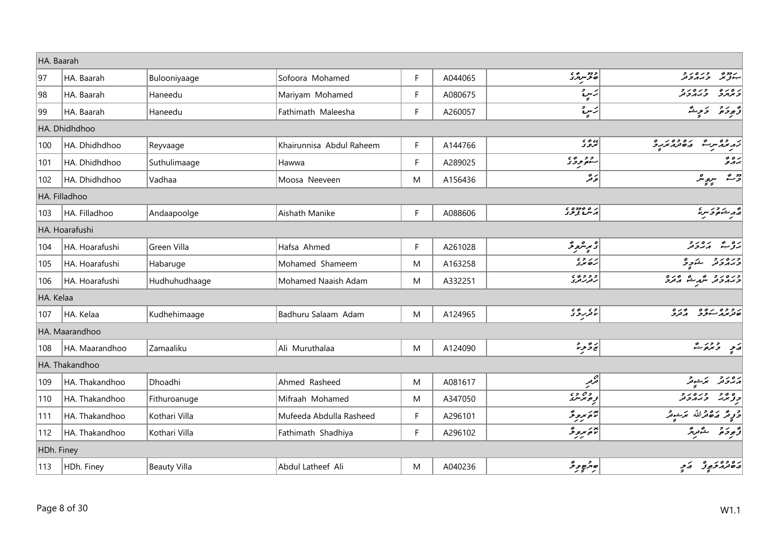| HA. Baarah |                |                     |                          |    |         |                                |                                                                |
|------------|----------------|---------------------|--------------------------|----|---------|--------------------------------|----------------------------------------------------------------|
| 97         | HA. Baarah     | Bulooniyaage        | Sofoora Mohamed          | F  | A044065 | و دو سر دي.<br>حو سر گري       | بروده وره دو                                                   |
| 98         | HA. Baarah     | Haneedu             | Mariyam Mohamed          | F  | A080675 | ئە بىر ج<br>ئە                 | و ره ر د<br>تر <i>پر</i> وتر<br>ر ه ر ه<br><del>ر</del> بربر ژ |
| 99         | HA. Baarah     | Haneedu             | Fathimath Maleesha       | F  | A260057 | ئەبىر ج                        | ژوده درید                                                      |
|            | HA. Dhidhdhoo  |                     |                          |    |         |                                |                                                                |
| 100        | HA. Dhidhdhoo  | Reyvaage            | Khairunnisa Abdul Raheem | F. | A144766 | پره بر<br>  بوړۍ               | ת הרית בי הסתו הגל                                             |
| 101        | HA. Dhidhdhoo  | Suthulimaage        | Hawwa                    | F. | A289025 | 2ء پر پري<br>سن <i>ج پر پر</i> | ر ه و<br>برد و                                                 |
| 102        | HA. Dhidhdhoo  | Vadhaa              | Moosa Neeveen            | M  | A156436 | ىرتىر                          | الرميح<br>سره په<br>په پو                                      |
|            | HA. Filladhoo  |                     |                          |    |         |                                |                                                                |
| 103        | HA. Filladhoo  | Andaapoolge         | Aishath Manike           | F. | A088606 | ر ۵ ۶۲۶ و ۲<br>د سره بومرد     | و د شوې تر برغ                                                 |
|            | HA. Hoarafushi |                     |                          |    |         |                                |                                                                |
| 104        | HA. Hoarafushi | Green Villa         | Hafsa Ahmed              | F. | A261028 | <sup>9</sup> سرىنزىر قر        | پره په پره پرو<br>  پرنولینې پر پر ټرمن                        |
| 105        | HA. Hoarafushi | Habaruge            | Mohamed Shameem          | M  | A163258 | ر ر د ه<br>ره مرد              | ورەرو دىرە<br><i>دىدە</i> دىر شۈچ                              |
| 106        | HA. Hoarafushi | Hudhuhudhaage       | Mohamed Naaish Adam      | M  | A332251 | و و و ر.<br>ر تور تو ی         | ورەرو شهر شهره.                                                |
| HA. Kelaa  |                |                     |                          |    |         |                                |                                                                |
| 107        | HA. Kelaa      | Kudhehimaage        | Badhuru Salaam Adam      | M  | A124965 | و ۽ ريو ۽<br>مانگرس پري        | ر و وه ر ده و دره<br>ت <i>ه تربر پر س</i> وگر در کردگر         |
|            | HA. Maarandhoo |                     |                          |    |         |                                |                                                                |
| 108        | HA. Maarandhoo | Zamaaliku           | Ali Muruthalaa           | M  | A124090 | ئے جُرمز                       | أرشم والمروث                                                   |
|            | HA. Thakandhoo |                     |                          |    |         |                                |                                                                |
| 109        | HA. Thakandhoo | Dhoadhi             | Ahmed Rasheed            | M  | A081617 | تحرمر                          | رەر تەرىپى<br>مەركى تەسىم                                      |
| 110        | HA. Thakandhoo | Fithuroanuge        | Mifraah Mohamed          | M  | A347050 | وه ده ده                       | - دوره دره در د                                                |
| 111        | HA. Thakandhoo | Kothari Villa       | Mufeeda Abdulla Rasheed  | F. | A296101 | موسم عرعر محر                  | ور ده ده دانله نم شوند                                         |
| 112        | HA. Thakandhoo | Kothari Villa       | Fathimath Shadhiya       | F. | A296102 | لتفوسره قحر                    | و و د شمېر                                                     |
| HDh. Finey |                |                     |                          |    |         |                                |                                                                |
| 113        | HDh. Finey     | <b>Beauty Villa</b> | Abdul Latheef Ali        | M  | A040236 | ھ پڑھ عرقر                     | גם כסקפת פי                                                    |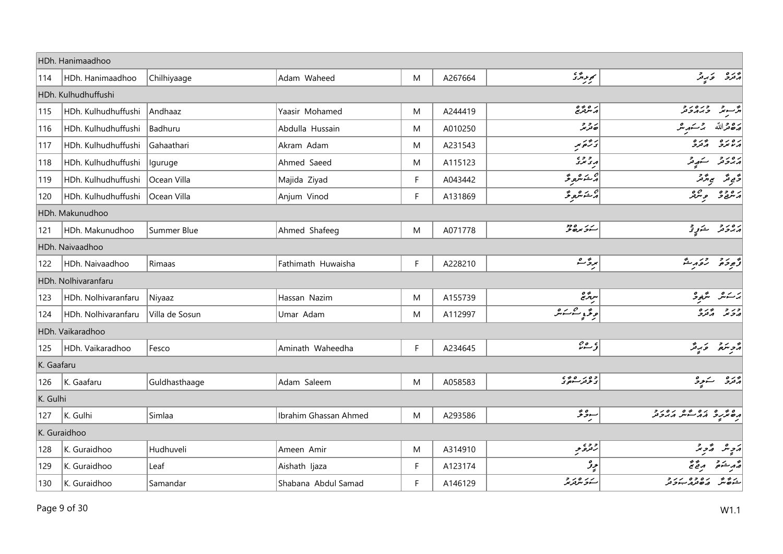|            | HDh. Hanimaadhoo                  |                    |                       |           |         |                                |                                                     |
|------------|-----------------------------------|--------------------|-----------------------|-----------|---------|--------------------------------|-----------------------------------------------------|
| 114        | HDh. Hanimaadhoo                  | Chilhiyaage        | Adam Waheed           | M         | A267664 | ے<br>کو بودگر<br><u>ب</u>      | پر پر تر تر تر                                      |
|            | HDh. Kulhudhuffushi               |                    |                       |           |         |                                |                                                     |
| 115        | HDh. Kulhudhuffushi               | Andhaaz            | Yaasir Mohamed        | M         | A244419 | بر مر <sub>م</sub> رج          | وكسور ورەرد                                         |
| 116        | HDh. Kulhudhuffushi               | Badhuru            | Abdulla Hussain       | M         | A010250 | ر و و<br>ھەترىر                | مَدْهَ قَدْاللّه بِمُ سَمَّهِ مِّرْ                 |
| 117        | HDh. Kulhudhuffushi               | l Gahaathari       | Akram Adam            | M         | A231543 | ر ژر                           | ره ره په ده                                         |
| 118        | HDh. Kulhudhuffushi               | Iguruge            | Ahmed Saeed           | M         | A115123 | اړ د د ه<br>په د مرد           | رەر ئەرتە                                           |
| 119        | HDh. Kulhudhuffushi               | <b>Ocean Villa</b> | Majida Ziyad          | F         | A043442 | ە<br>مەسىئەس <sub>ى</sub> بوقە | وحمي المحمد المحمد                                  |
| 120        | HDh. Kulhudhuffushi   Ocean Villa |                    | Anjum Vinod           | F         | A131869 | ە ئەيئە مىرى<br>مەسىئە مىرىپ   | روده وشرقر                                          |
|            | HDh. Makunudhoo                   |                    |                       |           |         |                                |                                                     |
| 121        | HDh. Makunudhoo                   | Summer Blue        | Ahmed Shafeeg         | M         | A071778 | ىر ئەھ                         | رەر دىنې                                            |
|            | HDh. Naivaadhoo                   |                    |                       |           |         |                                |                                                     |
| 122        | HDh. Naivaadhoo                   | Rimaas             | Fathimath Huwaisha    | F.        | A228210 | برڈ بے                         | وٌمِ وَمَحْ وَمَ وَ اللَّهُ وَ                      |
|            | HDh. Nolhivaranfaru               |                    |                       |           |         |                                |                                                     |
| 123        | HDh. Nolhivaranfaru               | Niyaaz             | Hassan Nazim          | M         | A155739 | سرمرج                          | برسكش متزموقه                                       |
| 124        | HDh. Nolhivaranfaru               | Villa de Sosun     | Umar Adam             | M         | A112997 | ە ئۇ يەسكەنگەر<br>م            | ور و پره<br>مرح مرمرو                               |
|            | HDh. Vaikaradhoo                  |                    |                       |           |         |                                |                                                     |
| 125        | HDh. Vaikaradhoo                  | Fesco              | Aminath Waheedha      | F         | A234645 | ې ده په                        | أزويته وكباقر                                       |
| K. Gaafaru |                                   |                    |                       |           |         |                                |                                                     |
| 126        | K. Gaafaru                        | Guldhasthaage      | Adam Saleem           | ${\sf M}$ | A058583 | و ه بر _ه پر و<br>د نوتر سوه د | ړوو خود                                             |
| K. Gulhi   |                                   |                    |                       |           |         |                                |                                                     |
| 127        | K. Gulhi                          | Simlaa             | Ibrahim Ghassan Ahmed | M         | A293586 | سردعه                          | ם מים גם מסגבה<br>גם <i>גו</i> ב גגיית גגבת         |
|            | K. Guraidhoo                      |                    |                       |           |         |                                |                                                     |
| 128        | K. Guraidhoo                      | Hudhuveli          | Ameen Amir            | ${\sf M}$ | A314910 | د د ،<br>رندو م                | أرَوِيثر المُرويز                                   |
| 129        | K. Guraidhoo                      | Leaf               | Aishath Ijaza         | F         | A123174 | وٍدٌ                           |                                                     |
| 130        | K. Guraidhoo                      | Samandar           | Shabana Abdul Samad   | F         | A146129 | ے پر 2 پر 2<br>سکوٹر میں       | دره بر ده وه را در و<br>شو <i>ه شهر شهر بر</i> و تر |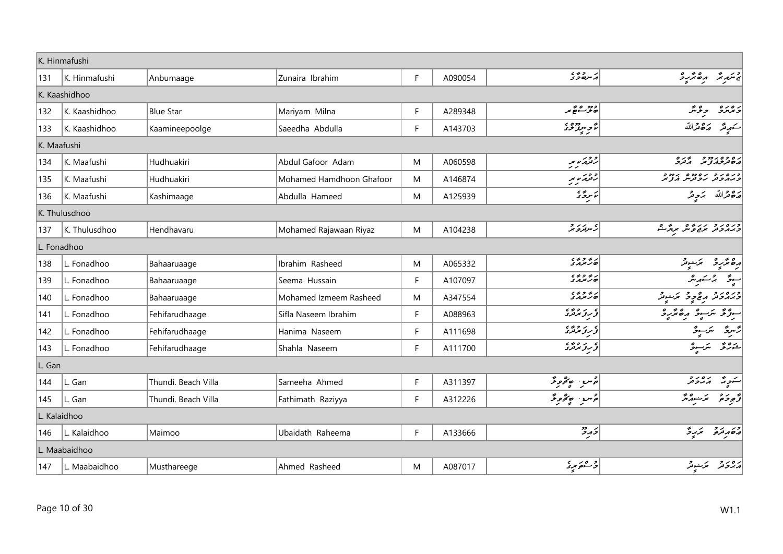|             | K. Hinmafushi |                     |                          |             |         |                                        |                                                                                                                                                                                                                                     |
|-------------|---------------|---------------------|--------------------------|-------------|---------|----------------------------------------|-------------------------------------------------------------------------------------------------------------------------------------------------------------------------------------------------------------------------------------|
| 131         | K. Hinmafushi | Anbumaage           | Zunaira Ibrahim          | E           | A090054 | بر روپر د<br>پرسرچون                   | تمسكر بمستقر وهوالمحر                                                                                                                                                                                                               |
|             | K. Kaashidhoo |                     |                          |             |         |                                        |                                                                                                                                                                                                                                     |
| 132         | K. Kaashidhoo | Blue Star           | Mariyam Milna            | $\mathsf F$ | A289348 | ەددە ئەير                              | أدبروره ويحتر                                                                                                                                                                                                                       |
| 133         | K. Kaashidhoo | Kaamineepoolge      | Saeedha Abdulla          | F           | A143703 | ء<br>مڙھ سرو وي                        | كويتر كەمى لله                                                                                                                                                                                                                      |
| K. Maafushi |               |                     |                          |             |         |                                        |                                                                                                                                                                                                                                     |
| 134         | K. Maafushi   | Hudhuakiri          | Abdul Gafoor Adam        | M           | A060598 | ارقىدىمىسىر                            | נסכסנככב שנס<br>השיט <i>יפ</i> וני הינכ                                                                                                                                                                                             |
| 135         | K. Maafushi   | Hudhuakiri          | Mohamed Hamdhoon Ghafoor | M           | A146874 | حەد بە<br>سىر ئەسىر                    | כנסג כ-גם ככם-גבב.<br>בהמכת הכתיית הציג                                                                                                                                                                                             |
| 136         | K. Maafushi   | Kashimaage          | Abdulla Hameed           | M           | A125939 | ر<br>ما مورد د                         | أرجع فكرالله برجي فكر                                                                                                                                                                                                               |
|             | K. Thulusdhoo |                     |                          |             |         |                                        |                                                                                                                                                                                                                                     |
| 137         | K. Thulusdhoo | Hendhavaru          | Mohamed Rajawaan Riyaz   | M           | A104238 | <sup>ى</sup> سرچرى چر                  | ورەر دېرە دېرى برېژىن                                                                                                                                                                                                               |
| L. Fonadhoo |               |                     |                          |             |         |                                        |                                                                                                                                                                                                                                     |
| 138         | L. Fonadhoo   | Bahaaruaage         | Ibrahim Rasheed          | M           | A065332 | ر و و و ء<br>ن <i>ه تر پر</i> د        | أرە ئۇرۇ بۇيغونر                                                                                                                                                                                                                    |
| 139         | L. Fonadhoo   | Bahaaruaage         | Seema Hussain            | F           | A107097 | ر د د د ،<br>ه ر بود د                 | سوق برستهر شر                                                                                                                                                                                                                       |
| 140         | L. Fonadhoo   | Bahaaruaage         | Mohamed Izmeem Rasheed   | M           | A347554 | ر د د د ،<br>ه ر بود د                 | כנסנב תשכב תובע                                                                                                                                                                                                                     |
| 141         | L. Fonadhoo   | Fehifarudhaage      | Sifla Naseem Ibrahim     | F           | A088963 | ۇرۇپرۇپر                               | روژ شریده مقدره<br>روژ شریده مقدره                                                                                                                                                                                                  |
| 142         | L. Fonadhoo   | Fehifarudhaage      | Hanima Naseem            | F           | A111698 | ۇرۇپرىژى                               | شريح مركب و المحمد المحمد المحمد المحمد المحمد المحمد المحمد المحمد المحمد المحمد المحمد المحمد المحمد المحمد<br>المحمد المحمد المحمد المحمد المحمد المحمد المحمد المحمد المحمد المحمد المحمد المحمد المحمد المحمد المحمد المحم<br> |
| 143         | L. Fonadhoo   | Fehifarudhaage      | Shahla Naseem            | F           | A111700 | ۇرۇپرىدى                               | شەرىخ سەرجى                                                                                                                                                                                                                         |
| L. Gan      |               |                     |                          |             |         |                                        |                                                                                                                                                                                                                                     |
| 144         | L. Gan        | Thundi. Beach Villa | Sameeha Ahmed            | F           | A311397 | ەمبەس ھەم ئە                           | سكوند الكاردة.<br>-<br>الأجوة كار الكرمائية                                                                                                                                                                                         |
| 145         | L. Gan        | Thundi. Beach Villa | Fathimath Raziyya        | F           | A312226 | ە بىر بەر ئەھم ئىسى ئىسى ئىسى ئىسى ئىس |                                                                                                                                                                                                                                     |
|             | L. Kalaidhoo  |                     |                          |             |         |                                        |                                                                                                                                                                                                                                     |
| 146         | L. Kalaidhoo  | Maimoo              | Ubaidath Raheema         | F.          | A133666 | خەرج                                   | مەم ترە ئىرگ                                                                                                                                                                                                                        |
|             | L. Maabaidhoo |                     |                          |             |         |                                        |                                                                                                                                                                                                                                     |
| 147         | L. Maabaidhoo | Musthareege         | Ahmed Rasheed            | M           | A087017 | و <sub>ص</sub> مر پرې                  | أركار والمتحصوص                                                                                                                                                                                                                     |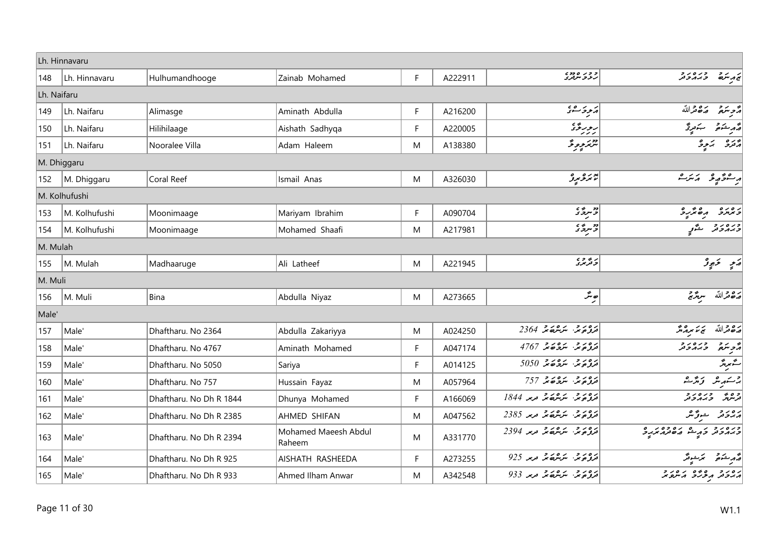|             | Lh. Hinnavaru |                         |                                |           |         |                                |                                                                                                                 |
|-------------|---------------|-------------------------|--------------------------------|-----------|---------|--------------------------------|-----------------------------------------------------------------------------------------------------------------|
| 148         | Lh. Hinnavaru | Hulhumandhooge          | Zainab Mohamed                 | F         | A222911 | و و ر ه وو ،<br>مرنو و سربور   | ג הר כנסנד<br>גא העם בגורבת                                                                                     |
| Lh. Naifaru |               |                         |                                |           |         |                                |                                                                                                                 |
| 149         | Lh. Naifaru   | Alimasge                | Aminath Abdulla                | F         | A216200 | لأجرئه شوع                     | أمحر سكرة المتحدة الله                                                                                          |
| 150         | Lh. Naifaru   | Hilihilaage             | Aishath Sadhyqa                | F         | A220005 | ر ور د د د<br>بر د بر          | و در دو در دورگا<br>و در دو در دورگا<br>او دو در دورگان                                                         |
| 151         | Lh. Naifaru   | Nooralee Villa          | Adam Haleem                    | M         | A138380 | تزىر پە پە ئە                  |                                                                                                                 |
|             | M. Dhiggaru   |                         |                                |           |         |                                |                                                                                                                 |
| 152         | M. Dhiggaru   | Coral Reef              | Ismail Anas                    | M         | A326030 | #ئەۋىبەر                       | ر عۇرپۇ كەنترىش                                                                                                 |
|             | M. Kolhufushi |                         |                                |           |         |                                |                                                                                                                 |
| 153         | M. Kolhufushi | Moonimaage              | Mariyam Ibrahim                | F         | A090704 | وه سرچ ی<br> خ                 | ومره مصريرة                                                                                                     |
| 154         | M. Kolhufushi | Moonimaage              | Mohamed Shaafi                 | M         | A217981 | ادو په په<br> د سرچنې          | ورەرو شگې                                                                                                       |
| M. Mulah    |               |                         |                                |           |         |                                |                                                                                                                 |
| 155         | M. Mulah      | Madhaaruge              | Ali Latheef                    | M         | A221945 | ر بر و ،<br><del>ر</del> ترىرى | أتكمح تحجوش                                                                                                     |
| M. Muli     |               |                         |                                |           |         |                                |                                                                                                                 |
| 156         | M. Muli       | Bina                    | Abdulla Niyaz                  | ${\sf M}$ | A273665 | ھىتر                           | أركافرالله سرقرم                                                                                                |
| Male'       |               |                         |                                |           |         |                                |                                                                                                                 |
| 157         | Male'         | Dhaftharu. No 2364      | Abdulla Zakariyya              | M         | A024250 | رەر دېر ئىر 2364 كى            | مُ صَعْرَاللّه بِمَ عَبْرَ مِرْمَرٌ                                                                             |
| 158         | Male'         | Dhaftharu. No 4767      | Aminath Mohamed                | F         | A047174 | رەر دېدىكى 4767                | و ره ر و<br><i>د ب</i> رگرفر<br>أرمز                                                                            |
| 159         | Male'         | Dhaftharu. No 5050      | Sariya                         | F         | A014125 | تروم تر شرق شرق 5050           | ستمبررش                                                                                                         |
| 160         | Male'         | Dhaftharu. No 757       | Hussain Fayaz                  | M         | A057964 | رەر دېرە 757                   | يركسهر تر تركت                                                                                                  |
| 161         | Male'         | Dhaftharu. No Dh R 1844 | Dhunya Mohamed                 | F         | A166069 | رە بەت. سەسھەتى مەمىر 1844     | وه په وره د و                                                                                                   |
| 162         | Male'         | Dhaftharu. No Dh R 2385 | AHMED SHIFAN                   | M         | A047562 | رەرچ. سەھەس مەر 2385           | أرەر ئىستى شىر                                                                                                  |
| 163         | Male'         | Dhaftharu. No Dh R 2394 | Mohamed Maeesh Abdul<br>Raheem | M         | A331770 | رەرى. سەھەتى مەر 2394          | כנסגב בתיים גסבסגס<br>במגבת בתיים גםתגמגב                                                                       |
| 164         | Male'         | Dhaftharu. No Dh R 925  | AISHATH RASHEEDA               | F         | A273255 | رە بەت. سەسھەتى مەس 925        | و<br>مەرشىق ئىم ئىشونىگر                                                                                        |
| 165         | Male'         | Dhaftharu. No Dh R 933  | Ahmed Ilham Anwar              | ${\sf M}$ | A342548 | رەپر. سەسھەر بىرىر 933         | 220 - 020 - 020 - 020 - 020 - 020 - 020 - 020 - 020 - 020 - 020 - 020 - 020 - 020 - 020 - 020 - 020 - 020 - 020 |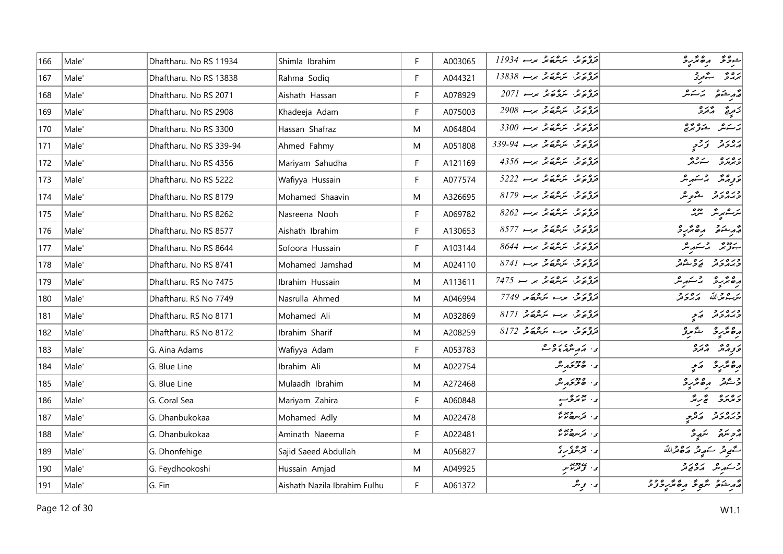| 166 | Male' | Dhaftharu. No RS 11934  | Shimla Ibrahim               | F. | A003065 | ىرەم تەشكىق تەسىر 11934                  | 5/500<br>  شوره و گر<br>  __                                       |
|-----|-------|-------------------------|------------------------------|----|---------|------------------------------------------|--------------------------------------------------------------------|
| 167 | Male' | Dhaftharu. No RS 13838  | Rahma Sodiq                  | F. | A044321 | ىرەم تە. سەھقەتمە سەھ 13838              | ر ه و<br>بربرگ<br>سەٌ قورتى                                        |
| 168 | Male' | Dhaftharu. No RS 2071   | Aishath Hassan               | F  | A078929 | $2071$ مَرْدُ جَرَّ حَمَدَ مِنْ $1$      | ۇرمۇمۇسى كەسكەش                                                    |
| 169 | Male' | Dhaftharu. No RS 2908   | Khadeeja Adam                | F. | A075003 | تروم تر. سَرْسْھَ تَرْ سِرِ 2908         | نزَموِيَّحَ<br>پور ہ<br>مرکزو                                      |
| 170 | Male' | Dhaftharu. No RS 3300   | Hassan Shafraz               | Μ  | A064804 | تروم تمر. سَرْسْھَ تَمْرُ سِرْ سَدِ 3300 | بركستانش المشاوكوندنج                                              |
| 171 | Male' | Dhaftharu. No RS 339-94 | Ahmed Fahmy                  | M  | A051808 | ىرە بەر ئىرىش كىرىد 94-339               | پروتر کرگے                                                         |
| 172 | Male' | Dhaftharu. No RS 4356   | Mariyam Sahudha              | F. | A121169 | ىرە بەت ئىر ھەتە بىر سىر 4356            | رەرە سەدە<br><i>جى</i> جەدى                                        |
| 173 | Male' | Dhaftharu. No RS 5222   | Wafiyya Hussain              | F  | A077574 | رەرى ئەسكەن بولسو 5222                   | أقروم محر محرمته                                                   |
| 174 | Male' | Dhaftharu. No RS 8179   | Mohamed Shaavin              | M  | A326695 | تروپر ترشيد پر 8179                      | ورەرو شەھر                                                         |
| 175 | Male' | Dhaftharu. No RS 8262   | Nasreena Nooh                | F  | A069782 | تروم تم. سَرْسْھَ تِمْ سِرِ 8262         | ىكرىشمېرىگە ئىزگە                                                  |
| 176 | Male' | Dhaftharu. No RS 8577   | Aishath Ibrahim              | F  | A130653 | رەپر ئىر سەھەتمە بىر 8577                | ومرشوم وكالمربر                                                    |
| 177 | Male' | Dhaftharu. No RS 8644   | Sofoora Hussain              | F  | A103144 | قرزەبر: سەھەتمە بىر 8644                 | سۇنىڭ برگىنىدىش                                                    |
| 178 | Male' | Dhaftharu. No RS 8741   | Mohamed Jamshad              | Μ  | A024110 | رەر ئە. ئىر شەكتە بىر سىر 8741           | ورەرو رەپەر<br><i>جەم</i> ەدىر ق <sub>ە</sub> رىش <mark>ەتر</mark> |
| 179 | Male' | Dhaftharu. RS No 7475   | Ibrahim Hussain              | M  | A113611 | رہ روپہ سرگرم پر سہ 7475                 | مەھترىرى بر شەر ش                                                  |
| 180 | Male' | Dhaftharu. RS No 7749   | Nasrulla Ahmed               | M  | A046994 | رەر تەسىر ئىر ھەر 7749                   | يتربه بحرالله<br>بر 2 ر 2<br>م <i>ر</i> بر <del>2</del> تر         |
| 181 | Male' | Dhaftharu. RS No 8171   | Mohamed Ali                  | M  | A032869 | تروم تر. بر سر سر شریع تر 8171           | ورەر د كم                                                          |
| 182 | Male' | Dhaftharu. RS No 8172   | Ibrahim Sharif               | M  | A208259 | تروری. برب ترشی تر 8172                  | ەر ھەتمەر 2<br>س<br>ىشە بىر ۋ                                      |
| 183 | Male' | G. Aina Adams           | Wafiyya Adam                 | F. | A053783 | 5.55577773                               | ر و ه پژ<br>پھوڑ<br>مرکزو                                          |
| 184 | Male' | G. Blue Line            | Ibrahim Ali                  | M  | A022754 | - موتور پر                               | رە ئۆر ئەير                                                        |
| 185 | Male' | G. Blue Line            | Mulaadh Ibrahim              | M  | A272468 | ى ھۆۋەپ                                  | و بەيجە<br>تونسىۋىتىر<br>برە ئۆرۈ                                  |
| 186 | Male' | G. Coral Sea            | Mariyam Zahira               | F  | A060848 | ، ئائىروپ                                | ر ه ر ه<br><del>ر</del> بربرگر<br>ىچ بەتتىر                        |
| 187 | Male' | G. Dhanbukokaa          | Mohamed Adly                 | M  | A022478 | <sup>ב -</sup> ترس 2**                   | ورەرو رەپر                                                         |
| 188 | Male' | G. Dhanbukokaa          | Aminath Naeema               | F  | A022481 | $2x^2$                                   | أزوينه تندقح                                                       |
| 189 | Male' | G. Dhonfehige           | Sajid Saeed Abdullah         | M  | A056827 | ا په مخرچو <i>ي پ</i> و                  | ستحقی متحد تحقید مرکز شد الله                                      |
| 190 | Male' | G. Feydhookoshi         | Hussain Amjad                | M  | A049925 | <br>  د ۱۰ قوفرموس                       | جر سکه شرک از کرد و تر                                             |
| 191 | Male' | G. Fin                  | Aishath Nazila Ibrahim Fulhu | F  | A061372 | ای ویژ                                   | و منځم شمېر موغږده د د                                             |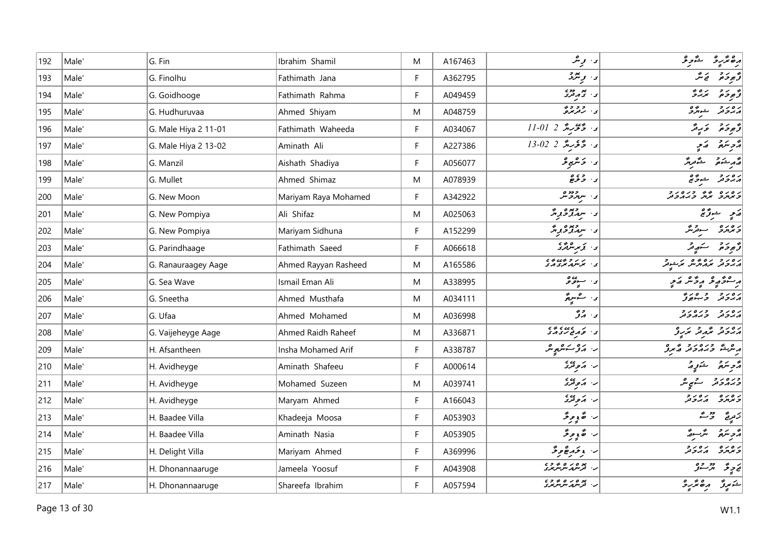| 192 | Male' | G. Fin               | Ibrahim Shamil       | M           | A167463 |                                                                               | مشرور<br>رە ئ <sup>ې</sup> رى<br>م                                         |
|-----|-------|----------------------|----------------------|-------------|---------|-------------------------------------------------------------------------------|----------------------------------------------------------------------------|
| 193 | Male' | G. Finolhu           | Fathimath Jana       | F           | A362795 | ء ويترة                                                                       | وَجوحَدَ كَمَ يَرَّ                                                        |
| 194 | Male' | G. Goidhooge         | Fathimath Rahma      | F           | A049459 | ه ده ده ده<br>  د که د ترد                                                    | و مرد<br>اگرېږمو<br>ر ه و<br>بربر <del>و</del>                             |
| 195 | Male' | G. Hudhuruvaa        | Ahmed Shiyam         | M           | A048759 | و د وده.<br>و . رتوبودگ                                                       | بر 2 بر 15<br>م <i>ر</i> بر <del>5</del> تر<br>شودگر 3                     |
| 196 | Male' | G. Male Hiya 2 11-01 | Fathimath Waheeda    | F           | A034067 | $11 - 01$ $2$ څور څر                                                          | وٌجوحَدُ وَرِيْدَ                                                          |
| 197 | Male' | G. Male Hiya 2 13-02 | Aminath Ali          | F           | A227386 | $13-02$ $2\frac{2}{5}$ ، د د د د 3                                            | ړې په کمې                                                                  |
| 198 | Male' | G. Manzil            | Aishath Shadiya      | F           | A056077 | ى ئەشرىمى ئى                                                                  | أقهر مشكاتهم المستكور                                                      |
| 199 | Male' | G. Mullet            | Ahmed Shimaz         | M           | A078939 | ى بەر ئەھ                                                                     | رەر د جوڭ<br>مەركى خوڭ                                                     |
| 200 | Male' | G. New Moon          | Mariyam Raya Mohamed | F           | A342922 | ار . سرگرفر مگر                                                               | נסנס שם כנסנכ<br>כמתכ מת כמתכת                                             |
| 201 | Male' | G. New Pompiya       | Ali Shifaz           | M           | A025063 | ، سرچوبو پر                                                                   | أوسمج المسورقم فلتحيض                                                      |
| 202 | Male' | G. New Pompiya       | Mariyam Sidhuna      | $\mathsf F$ | A152299 | ، سروج و بر                                                                   | رەرە سىزىگە<br><i>دىم</i> ەرد سىزىگر                                       |
| 203 | Male' | G. Parindhaage       | Fathimath Saeed      | $\mathsf F$ | A066618 | ء <sub>َ</sub> کو موسفر                                                       | رُّجِرَة سَهِيدُ                                                           |
| 204 | Male' | G. Ranauraagey Aage  | Ahmed Rayyan Rasheed | M           | A165586 | e sus s i i i<br>s i s x i i x i s                                            | ر 2010 נפשים הביתיות<br>גברת הנגורית הביתיות                               |
| 205 | Male' | G. Sea Wave          | Ismail Eman Ali      | M           | A338995 | ی . سوچ چ<br>تر                                                               | ر جۇمۇ رۇپر مۇ                                                             |
| 206 | Male' | G. Sneetha           | Ahmed Musthafa       | M           | A034111 | ى شوپىدۇ.                                                                     | رەرد دەرد                                                                  |
| 207 | Male' | G. Ufaa              | Ahmed Mohamed        | M           | A036998 | ى بەرىخ                                                                       | ג סגב בג סגב<br>גגבע בגגבע                                                 |
| 208 | Male' | G. Vaijeheyge Aage   | Ahmed Raidh Raheef   | M           | A336871 | $\frac{1}{1}$ = $\frac{1}{2}$ = $\frac{1}{2}$ = $\frac{1}{2}$ = $\frac{1}{2}$ | أرودو بمرفد بررو                                                           |
| 209 | Male' | H. Afsantheen        | Insha Mohamed Arif   | F           | A338787 | ر. ئەزىسە مەھ <sub>ب</sub> ە تىر                                              | و هر شده در در در و                                                        |
| 210 | Male' | H. Avidheyge         | Aminath Shafeeu      | F           | A000614 | ر به کرونده<br>ر به کرونده                                                    | مەدىكى ھەرم                                                                |
| 211 | Male' | H. Avidheyge         | Mohamed Suzeen       | M           | A039741 | ر. مرً <i>و ق</i> ری                                                          | ورەرو ھېر                                                                  |
| 212 | Male' | H. Avidheyge         | Maryam Ahmed         | $\mathsf F$ | A166043 | ر به کرونده<br>ر به کرونده                                                    | י סים מסיב<br>היאו <i>נ</i> ד היבנ                                         |
| 213 | Male' | H. Baadee Villa      | Khadeeja Moosa       | $\mathsf F$ | A053903 | ر. ئۇي <sub>م</sub> ۇ                                                         | زَمِرِيَّ رَ" —                                                            |
| 214 | Male' | H. Baadee Villa      | Aminath Nasia        | $\mathsf F$ | A053905 | ر. ځېږمونځه                                                                   | ومحرسكم التمرسور                                                           |
| 215 | Male' | H. Delight Villa     | Mariyam Ahmed        | F           | A369996 | ر و دَرِهِورِدْ                                                               | بر 2 ر ح<br>م <i>ر</i> بر <del>5</del> تر<br>ر ه ر ه<br><del>ر</del> بربرگ |
| 216 | Male' | H. Dhonannaaruge     | Jameela Yoosuf       | F           | A043908 | ر به ده د ه د و د<br>ر ۰ ترسمه سرس پرد                                        | يَوحِر قلم الرحمن في المحمد الم                                            |
| 217 | Male' | H. Dhonannaaruge     | Shareefa Ibrahim     | E           | A057594 | ر. مورور و د و ،                                                              | ە ھەترىرى<br>بەھەترىرى<br>ىشەمرۇگە<br>ئ                                    |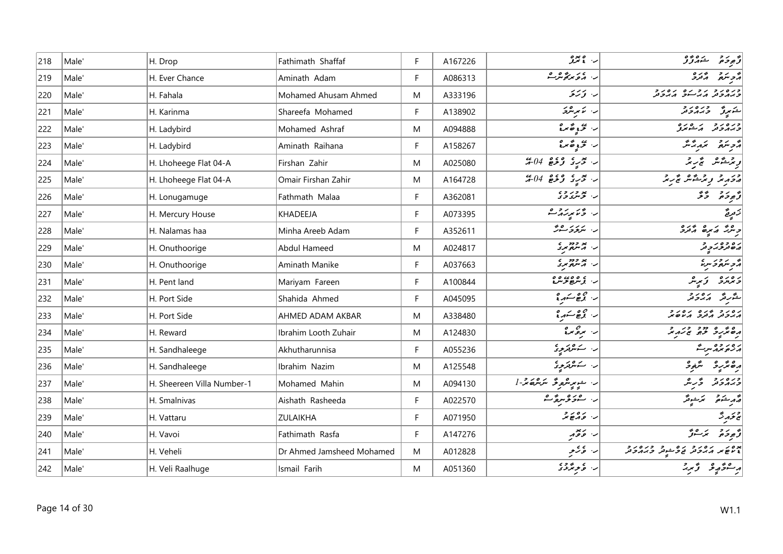| 218 | Male' | H. Drop                    | Fathimath Shaffaf         | F  | A167226 | ر . م بره<br>ر . <b>،</b> برو  | ے پر وی و<br>حشور تو تو<br>ا تۇ بو ئەم                         |
|-----|-------|----------------------------|---------------------------|----|---------|--------------------------------|----------------------------------------------------------------|
|     |       |                            |                           |    |         |                                |                                                                |
| 219 | Male' | H. Ever Chance             | Aminath Adam              | F  | A086313 | ر. ئەركىرىگەنگرىش              | ړ پر په ده د                                                   |
| 220 | Male' | H. Fahala                  | Mohamed Ahusam Ahmed      | M  | A333196 | ر، ق52                         | כנסגב גבגם גסגב<br>כגמכת הג'-יכ הגכת                           |
| 221 | Male' | H. Karinma                 | Shareefa Mohamed          | F  | A138902 | را الأمر مثركة                 | شكيرو وبرورو                                                   |
| 222 | Male' | H. Ladybird                | Mohamed Ashraf            | M  | A094888 | ر بمؤوځ بره                    | وره رو بر ۱۵ ره<br><i>د بر</i> بر تر شورو                      |
| 223 | Male' | H. Ladybird                | Aminath Raihana           | F  | A158267 | ر، ئۇ دۇمر،                    | ومحر يتمر يتمر برمند                                           |
| 224 | Male' | H. Lhoheege Flat 04-A      | Firshan Zahir             | M  | A025080 |                                | ويرشكر الجرير                                                  |
| 225 | Male' | H. Lhoheege Flat 04-A      | Omair Firshan Zahir       | M  | A164728 | $-94$ $-22$ $-22$ $-2$ $-2$    | ودروته وبرشامه وبرته                                           |
| 226 | Male' | H. Lonugamuge              | Fathmath Malaa            | F  | A362081 | ر . مورور و ،<br>ر . موسری و ی | $\begin{pmatrix} 2 & 2 & 3 \\ 5 & 5 & 6 \end{pmatrix}$         |
| 227 | Male' | H. Mercury House           | KHADEEJA                  | F  | A073395 | ر، ۇئاپرىزە م                  | ر<br>ترورچّ<br>*                                               |
| 228 | Male' | H. Nalamas haa             | Minha Areeb Adam          | F  | A352611 | ر. سَرَوَرَ سُرْرٌ             |                                                                |
| 229 | Male' | H. Onuthoorige             | <b>Abdul Hameed</b>       | M  | A024817 | ה מיכחון<br>הי והייטון מה      | <br>  د ۱۵۶۵ و تر<br>  د ۱۵۶۵ و تر                             |
| 230 | Male' | H. Onuthoorige             | Aminath Manike            | F  | A037663 | ה מי כבר ה<br>הי אהייתם מש     | أأد سيؤد سرع                                                   |
| 231 | Male' | H. Pent land               | Mariyam Fareen            | F  | A100844 | ر. بې موه ده ده و              | دەرە ئېرىگە                                                    |
| 232 | Male' | H. Port Side               | Shahida Ahmed             | F  | A045095 | ر، جوھ سکھ ج                   | شگرىگر كەندى كىل                                               |
| 233 | Male' | H. Port Side               | AHMED ADAM AKBAR          | M  | A338480 | $2.7 - 2.7$                    | ג סג כניגם גם גבר                                              |
| 234 | Male' | H. Reward                  | Ibrahim Looth Zuhair      | M  | A124830 | ر، برءٌ بر،                    | معتر و دو برمه                                                 |
| 235 | Male' | H. Sandhaleege             | Akhutharunnisa            | F  | A055236 | ر. ڪنگهڙموري                   | ره روه مرت                                                     |
| 236 | Male' | H. Sandhaleege             | Ibrahim Nazim             | M  | A125548 | ر. سەنگەر ئورى                 | رە ئەر ئە ئىنجى                                                |
| 237 | Male' | H. Sheereen Villa Number-1 | Mohamed Mahin             | M  | A094130 | ر. خوبرمكرو تر مكره كالح-1     | ورەرو ۇرش                                                      |
| 238 | Male' | H. Smalnivas               | Aishath Rasheeda          | F  | A022570 | ر. ئىزۇسرۇ ئ                   | د<br>مرشوم مرشوم                                               |
| 239 | Male' | H. Vattaru                 | <b>ZULAIKHA</b>           | F. | A071950 | ر، دەرد                        | چ ئۇ م <sup>ەش</sup> ر                                         |
| 240 | Male' | H. Vavoi                   | Fathimath Rasfa           | F  | A147276 | ار، عقوم                       | ۇ بەرە بىر شۇ                                                  |
| 241 | Male' | H. Veheli                  | Dr Ahmed Jamsheed Mohamed | M  | A012828 | ر. ءُنَّيْرِ                   | ۶ ده در ۲۶ ده د و ۲۶ در د<br>۲ نام در در در نام شوتر و بر دوتر |
| 242 | Male' | H. Veli Raalhuge           | Ismail Farih              | M  | A051360 | ر، ئۇمەيرى                     | ر ھۇر ئىر                                                      |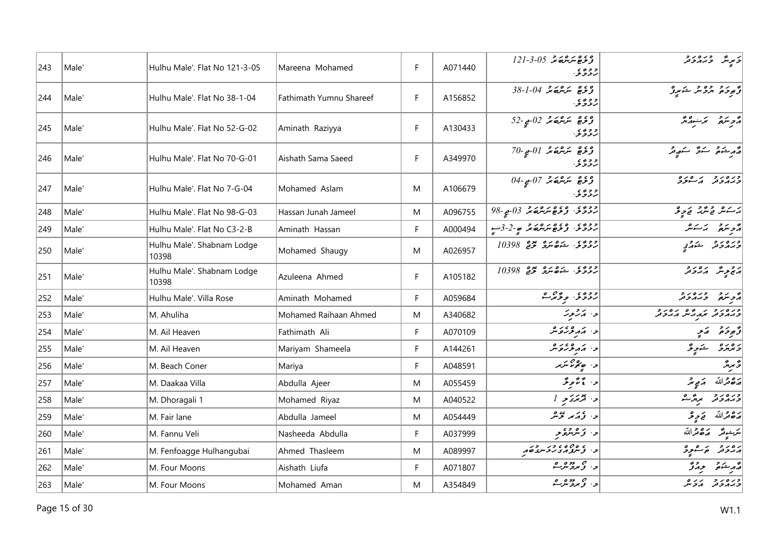| 243 | Male' | Hulhu Male'. Flat No 121-3-05       | Mareena Mohamed         | F. | A071440 | $121 - 3 - 05$<br>و و و ء .<br>رنو <del>و</del> و .          | كرمير وروره                           |
|-----|-------|-------------------------------------|-------------------------|----|---------|--------------------------------------------------------------|---------------------------------------|
| 244 | Male' | Hulhu Male'. Flat No 38-1-04        | Fathimath Yumnu Shareef | F. | A156852 | <b>38-1-04</b> مَرْمُهُمْ 1-04-38<br>و و و ي.<br>رنونونو .   | ژُودو دوم شهرو                        |
| 245 | Male' | Hulhu Male'. Flat No 52-G-02        | Aminath Raziyya         | F  | A130433 | $52 - 02$ مَرْسَمَة $2 - 02$<br>و و و ي.<br>رندگرنگ          | ה כְיתֹם ו בְּי-וֹתוֹת                |
| 246 | Male' | Hulhu Male'. Flat No 70-G-01        | Aishath Sama Saeed      | F. | A349970 | و ۽ و سرچي سرچي 10-ي <sub>و</sub> -70<br>و و د ي.<br>رنونوگو | ە ئەر شەھ سەئى سەر تە                 |
| 247 | Male' | Hulhu Male'. Flat No 7-G-04         | Mohamed Aslam           | M  | A106679 | $04 - 07$ مُرْسَعَة مَنْ $07 - 07$<br>و و و ي.<br>رنونوگو    | ورەرو پەرەرە                          |
| 248 | Male' | Hulhu Male'. Flat No 98-G-03        | Hassan Junah Jameel     | M  | A096755 | 233. وء مرمور سن 13-ي-98.                                    | يركبا والملاح والمحافية               |
| 249 | Male' | Hulhu Male'. Flat No C3-2-B         | Aminath Hassan          | F  | A000494 | د د د و د و د وړ د چې د -2-3 پ                               | أأرضي الأسكان                         |
| 250 | Male' | Hulhu Male'. Shabnam Lodge<br>10398 | Mohamed Shaugy          | M  | A026957 | $10398$ حَمْدَ حَمْدِ حَمْدَ مِنْ $22$                       | ورەرو شەدىر                           |
| 251 | Male' | Hulhu Male'. Shabnam Lodge<br>10398 | Azuleena Ahmed          | F. | A105182 | $10398$ $23.2$ $3.2$ $3.2$                                   | أرج ويتر أرور و                       |
| 252 | Male' | Hulhu Male'. Villa Rose             | Aminath Mohamed         | F. | A059684 | ر د د ، ، و ژند .<br>  رندونو ، و ژند                        | أثرم سرد وره د د                      |
| 253 | Male' | M. Ahuliha                          | Mohamed Raihaan Ahmed   | Μ  | A340682 | ار، ئەزىرىز                                                  | כנסגב גבולים גםגב<br>כמהכת מקבית המכת |
| 254 | Male' | M. Ail Heaven                       | Fathimath Ali           | F  | A070109 | و· مەمەنزىرقەش                                               | توجوحه وكمي                           |
| 255 | Male' | M. Ail Heaven                       | Mariyam Shameela        | F. | A144261 | و· مەمەنزىق ش                                                | رەرە خەرى                             |
| 256 | Male' | M. Beach Coner                      | Mariya                  | F. | A048591 | و . ھ <sup>2</sup> و كى مىڭدىن كى                            | وَمبرژ                                |
| 257 | Male' | M. Daakaa Villa                     | Abdulla Ajeer           | M  | A055459 | د ، ڏڻءِ ٿُر                                                 | حَدَّ هُدَاللَّهُ حَمَّدٍ مِّرْ       |
| 258 | Male' | M. Dhoragali 1                      | Mohamed Riyaz           | M  | A040522 | و· قرْمَرْدَ مِ 1                                            | ورەرو بروگ                            |
| 259 | Male' | M. Fair lane                        | Abdulla Jameel          | M  | A054449 | وسى كەر ئەھ                                                  | پره قرالله ق پر تو                    |
| 260 | Male' | M. Fannu Veli                       | Nasheeda Abdulla        | F. | A037999 | د. ئەنگەنگەمۇ                                                | <i>سَرَشِيعَدَ ضَ</i> صَحْرَاللّه     |
| 261 | Male' | M. Fenfoagge Hulhangubai            | Ahmed Thasleem          | M  | A089997 |                                                              | أرەر دەر ئەر                          |
| 262 | Male' | M. Four Moons                       | Aishath Liufa           | F. | A071807 | د · گوندو حرم م                                              | ومرشكم مروقى                          |
| 263 | Male' | M. Four Moons                       | Mohamed Aman            | M  | A354849 | د · ئۇ برۇ تىرگ                                              | ورەر دىرە                             |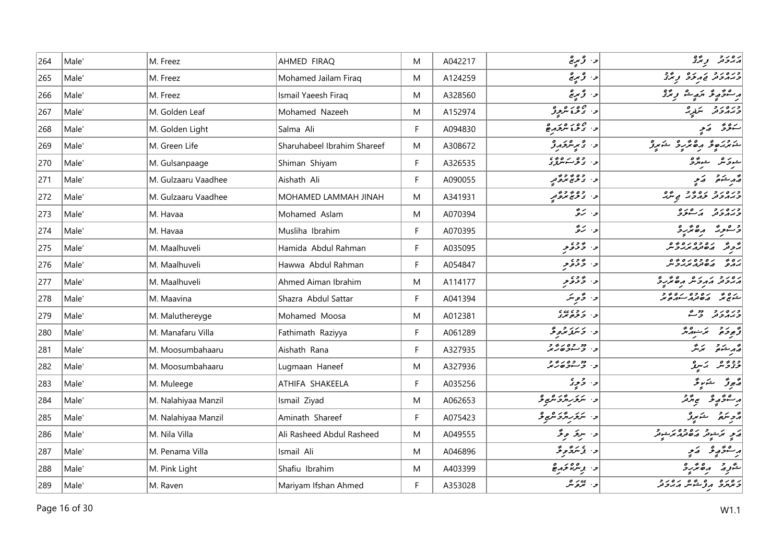| 264 | Male' | M. Freez            | AHMED FIRAQ                 | M           | A042217 | -<br> - ئۇمېرىج                           | پروتر پیڅو                                           |
|-----|-------|---------------------|-----------------------------|-------------|---------|-------------------------------------------|------------------------------------------------------|
| 265 | Male' | M. Freez            | Mohamed Jailam Firaq        | M           | A124259 | و· ۇىرىج                                  | ورورو ريرو وبرة                                      |
| 266 | Male' | M. Freez            | Ismail Yaeesh Firaq         | M           | A328560 | ح <sup>.</sup> ۇىرىج                      | ر دو په د کمه د کمک و لر                             |
| 267 | Male' | M. Golden Leaf      | Mohamed Nazeeh              | M           | A152974 | - <sup>2</sup> 22 مۇي <sub>ر</sub> ۇ      | ورەر ئىزر                                            |
| 268 | Male' | M. Golden Light     | Salma Ali                   | F           | A094830 | $e$ , 2019<br>$e$ , 2019                  | شۇڭ كەيپ                                             |
| 269 | Male' | M. Green Life       | Sharuhabeel Ibrahim Shareef | M           | A308672 | د· گ <sup>ې</sup> ر پرېڅه يو              | شورته وه د ۱۳۵۵ شورو                                 |
| 270 | Male' | M. Gulsanpaage      | Shiman Shiyam               | F           | A326535 | و وه شده و و و<br>و کامونوی               | ے کے شر <i>وڑ</i><br>مرکش م                          |
| 271 | Male' | M. Gulzaaru Vaadhee | Aishath Ali                 | $\mathsf F$ | A090055 | و٠ و و و و و و پر                         | وكرمشتم وكمع                                         |
| 272 | Male' | M. Gulzaaru Vaadhee | MOHAMED LAMMAH JINAH        | M           | A341931 | و٠ و و و و و و                            | ورەر د رەپ د پره.<br>دېرمرد ترمرد پر تر              |
| 273 | Male' | M. Havaa            | Mohamed Aslam               | M           | A070394 | و· رَگَّ                                  | ورەر دېم دە                                          |
| 274 | Male' | M. Havaa            | Musliha Ibrahim             | F           | A070395 | و· رَگَّ                                  | ەھ ئۈر ۋ<br>د ح <sub>س</sub> ورژ                     |
| 275 | Male' | M. Maalhuveli       | Hamida Abdul Rahman         | F           | A035095 | والمتحرقومي                               | ره وه ره ده ه<br>پره تربر <i>برب</i> رو س<br>برٌوترٌ |
| 276 | Male' | M. Maalhuveli       | Hawwa Abdul Rahman          | F           | A054847 | والمتحرج ومحالج                           | ره وه ره ده<br>پره تربر تر تر                        |
| 277 | Male' | M. Maalhuveli       | Ahmed Aiman Ibrahim         | M           | A114177 | و· ۇرۇمۇ                                  | גיגב הגביל גם ליגב                                   |
| 278 | Male' | M. Maavina          | Shazra Abdul Sattar         | F           | A041394 | والمتحج متر                               | ره د دره ده ده در<br>شویم در محمد سوی                |
| 279 | Male' | M. Maluthereyge     | Mohamed Moosa               | M           | A012381 | ر و د د د د د<br>و ۰ و <del>و</del> و برد | ورەر دور.<br>وبرورو وب                               |
| 280 | Male' | M. Manafaru Villa   | Fathimath Raziyya           | F           | A061289 | د· ئ <i>ەنىۋىترە</i> ئ                    | توجوحو بمسهد                                         |
| 281 | Male' | M. Moosumbahaaru    | Aishath Rana                | F           | A327935 | ه د ۱۵۶ ورو د<br>د کار او هار بر          | ۇرىشقى ئىرتىگە                                       |
| 282 | Male' | M. Moosumbahaaru    | Lugmaan Haneef              | M           | A327936 | ه د ۱۵۶ ورو د<br>د کار او هار بر          | ووومر برسره                                          |
| 283 | Male' | M. Muleege          | ATHIFA SHAKEELA             | $\mathsf F$ | A035256 | و٠ وګورگا                                 | ړُّنورٌ ڪَنَدُورٌ                                    |
| 284 | Male' | M. Nalahiyaa Manzil | Ismail Ziyad                | M           | A062653 | ە . ئى <i>زگىر ئۇڭ ئىبى</i> ر             | وڪوڻو پرڙڙ                                           |
| 285 | Male' | M. Nalahiyaa Manzil | Aminath Shareef             | F           | A075423 | ە . <b>سَرَى سِرَ</b> دَ سْرىبى ئى        | أأروبتهم المستمير                                    |
| 286 | Male' | M. Nila Villa       | Ali Rasheed Abdul Rasheed   | M           | A049555 | و. سرنۇ ئۇ ق                              | ر<br>په پرشونز پره <i>نرو پر</i> شونز                |
| 287 | Male' | M. Penama Villa     | Ismail Ali                  | M           | A046896 |                                           | ر شۇمۇھ مۇ                                           |
| 288 | Male' | M. Pink Light       | Shafiu Ibrahim              | M           | A403399 | د· برىدىم ئەرق                            | شروه مقبره                                           |
| 289 | Male' | M. Raven            | Mariyam Ifshan Ahmed        | F           | A353028 | و· نیمونگر                                | رەرە مۇشگىر مەدرى<br><i>دىمەد</i> و مۇشگىر مەدونر    |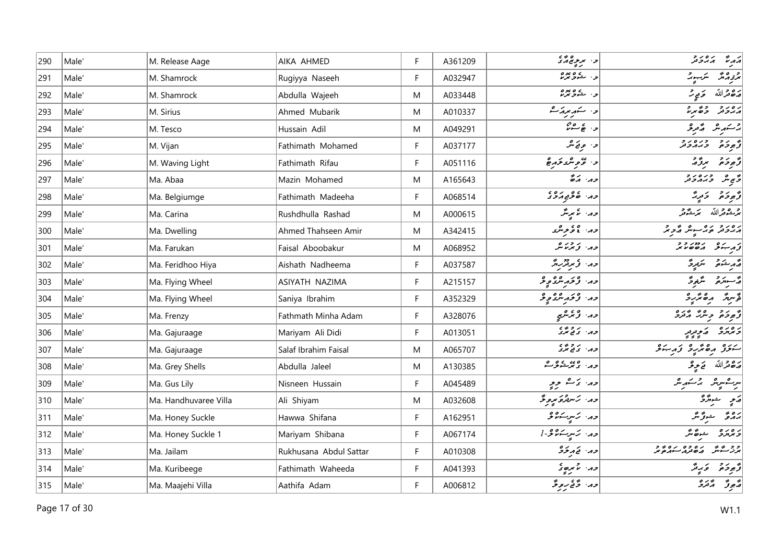| 290 | Male' | M. Release Aage       | AIKA AHMED             | F         | A361209 | $rac{1}{2}$                                                                                                                    |                                  |
|-----|-------|-----------------------|------------------------|-----------|---------|--------------------------------------------------------------------------------------------------------------------------------|----------------------------------|
| 291 | Male' | M. Shamrock           | Rugiyya Naseeh         | F         | A032947 | و . شوه بوه<br>و . شو <i>و بو</i> ن                                                                                            | برتوره مرسور                     |
| 292 | Male' | M. Shamrock           | Abdulla Wajeeh         | ${\sf M}$ | A033448 | و، ڪوڻونو                                                                                                                      | أَيَّ هُ تَدَّاللَّهُ مَّ مَوْتِ |
| 293 | Male' | M. Sirius             | Ahmed Mubarik          | M         | A010337 | <sub>و</sub> . سکه بروگر                                                                                                       | גפנק כלאני                       |
| 294 | Male' | M. Tesco              | Hussain Adil           | ${\sf M}$ | A049291 | $\overline{\begin{array}{ccc} \mathcal{C} & \mathcal{C} & \mathcal{C} \\ \mathcal{C} & \mathcal{C} & \mathcal{C} \end{array}}$ | ج سکر مگر مگر مگر محر            |
| 295 | Male' | M. Vijan              | Fathimath Mohamed      | F         | A037177 | <sub>ح</sub> . ع <sub>ر</sub> يج مثر                                                                                           | 31013 31 4                       |
| 296 | Male' | M. Waving Light       | Fathimath Rifau        | F         | A051116 |                                                                                                                                | توالا والمحمدة المعرومية         |
| 297 | Male' | Ma. Abaa              | Mazin Mohamed          | ${\sf M}$ | A165643 | $\stackrel{\circ}{\circ}$ 1 $\,$                                                                                               | وسمع وره دو                      |
| 298 | Male' | Ma. Belgiumge         | Fathimath Madeeha      | F         | A068514 |                                                                                                                                | ۇۋۇڭ دېرىگە                      |
| 299 | Male' | Ma. Carina            | Rushdhulla Rashad      | M         | A000615 | دە.، ئامېدىگە                                                                                                                  | ترشوترالله ترشوتر                |
| 300 | Male' | Ma. Dwelling          | Ahmed Thahseen Amir    | M         | A342415 | دەر، قۇمۇرىتىمد                                                                                                                | גפנק הפיית הקב                   |
| 301 | Male' | Ma. Farukan           | Faisal Aboobakur       | ${\sf M}$ | A068952 | در زىرىمى                                                                                                                      | 77/20/9/7                        |
| 302 | Male' | Ma. Feridhoo Hiya     | Aishath Nadheema       | F         | A037587 | حەر، ئۇ بىر قرىر بىر<br>مە                                                                                                     | وكركو الكميرة                    |
| 303 | Male' | Ma. Flying Wheel      | ASIYATH NAZIMA         | F         | A215157 | در. ژڅر شو <sub>ه و</sub>                                                                                                      | ۇسىدە ئىبۇ                       |
| 304 | Male' | Ma. Flying Wheel      | Saniya Ibrahim         | F         | A352329 | دە. ۋىخەر شكەم پى                                                                                                              | أوَّ سِرَّ رَصْحَرِ وَ           |
| 305 | Male' | Ma. Frenzy            | Fathmath Minha Adam    | F         | A328076 | جهه وعمدهمي                                                                                                                    | تؤودة وعرثه وبره                 |
| 306 | Male' | Ma. Gajuraage         | Mariyam Ali Didi       | F         | A013051 | ر د ه ه د<br>د د ک مخه مرد                                                                                                     | ره ره کرورنو                     |
| 307 | Male' | Ma. Gajuraage         | Salaf Ibrahim Faisal   | M         | A065707 | ر د د د د د<br>  د د ۰ د بي برد                                                                                                | ينوو مقتر ومنو                   |
| 308 | Male' | Ma. Grey Shells       | Abdulla Jaleel         | M         | A130385 | وړ وی د ور                                                                                                                     | رە دالله ق دو                    |
| 309 | Male' | Ma. Gus Lily          | Nisneen Hussain        | F         | A045489 | درستی دو                                                                                                                       | سرےسریں کے سرمانی                |
| 310 | Male' | Ma. Handhuvaree Villa | Ali Shiyam             | ${\sf M}$ | A032608 | ور. ئەردۇمروڭ                                                                                                                  | اړي شودگرو<br>ا                  |
| 311 | Male' | Ma. Honey Suckle      | Hawwa Shifana          | F         | A162951 | ور کېږېدو و                                                                                                                    | رەپ خوتمىگە                      |
| 312 | Male' | Ma. Honey Suckle 1    | Mariyam Shibana        | F         | A067174 | دە. ئەيدىكە 2-1                                                                                                                | رەرە شەھىر                       |
| 313 | Male' | Ma. Jailam            | Rukhusana Abdul Sattar | F         | A010308 | دړ٠ نځ پرځر؟                                                                                                                   | د د مړين د ده ده ده د د          |
| 314 | Male' | Ma. Kuribeege         | Fathimath Waheeda      | F         | A041393 | $rac{c}{s}$                                                                                                                    | وٌموحَمٌ وَرِمَّرٌ               |
| 315 | Male' | Ma. Maajehi Villa     | Aathifa Adam           | F         | A006812 | ورستي روتى                                                                                                                     | ه و دره<br>موز معرد              |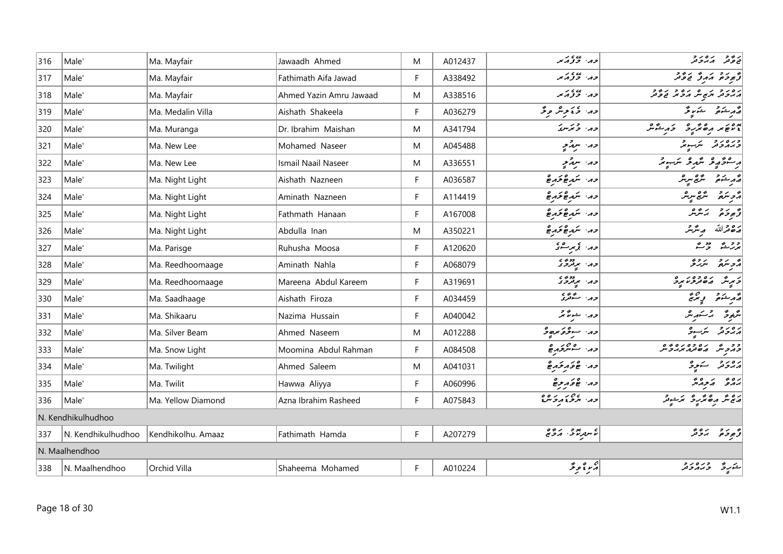| 316 | Male'              | Ma. Mayfair        | Jawaadh Ahmed              | M         | A012437 | وړ وزړند                                 | ر و د د د د و<br>نے وگر د کرکر تر |
|-----|--------------------|--------------------|----------------------------|-----------|---------|------------------------------------------|-----------------------------------|
| 317 | Male'              | Ma. Mayfair        | Fathimath Aifa Jawad       | F         | A338492 | وړ وزړند                                 | و و د د د و د و د                 |
| 318 | Male'              | Ma. Mayfair        | Ahmed Yazin Amru Jawaad    | ${\sf M}$ | A338516 | وړ٠ وي د کر                              | גפגב ת <sub>ב</sub> שת הכת בפע    |
| 319 | Male'              | Ma. Medalin Villa  | Aishath Shakeela           | F         | A036279 | دەر، ئۇنۇپتىر بوڭر                       | و ديده شريد گريند                 |
| 320 | Male'              | Ma. Muranga        | Dr. Ibrahim Maishan        | M         | A341794 | בו ביציע                                 |                                   |
| 321 | Male'              | Ma. New Lee        | Mohamed Naseer             | M         | A045488 | ده سرقمو                                 | ورەرو شبور                        |
| 322 | Male'              | Ma. New Lee        | <b>Ismail Naail Naseer</b> | M         | A336551 | در. سرقمو                                | ر قۇرۇ شرۇ شەر                    |
| 323 | Male'              | Ma. Night Light    | Aishath Nazneen            | F         | A036587 | در سَرِ عَدَرِ عَ                        | ۇرشۇق سىتى سىر                    |
| 324 | Male'              | Ma. Night Light    | Aminath Nazneen            | F         | A114419 | כו. יתוש צוש                             | أأدوسكم المتنقي سرينكر            |
| 325 | Male'              | Ma. Night Light    | Fathmath Hanaan            | F         | A167008 | <i>בור יתת ליצות</i> ל                   | ۇ بۇ ئەس ئەسرىس                   |
| 326 | Male'              | Ma. Night Light    | Abdulla Inan               | ${\sf M}$ | A350221 | <i>בור יתוח שיצוח</i> ש                  | 2012 مِتَّرْسَد                   |
| 327 | Male'              | Ma. Parisge        | Ruhusha Moosa              | F         | A120620 | دە. ئىرىشى                               | برزيئة وحرثته                     |
| 328 | Male'              | Ma. Reedhoomaage   | Aminath Nahla              | F         | A068079 | בוני וקבקבים<br>כוני וקבקבים             | أأرمر المروفر                     |
| 329 | Male'              | Ma. Reedhoomaage   | Mareena Abdul Kareem       | F         | A319691 | כוזי וקבקבים<br>כוזי וקבקבים             | د پرسر ره ده د پرو                |
| 330 | Male'              | Ma. Saadhaage      | Aishath Firoza             | F         | A034459 | وړ گوي                                   | ومرشق ويمتح                       |
| 331 | Male'              | Ma. Shikaaru       | Nazima Hussain             | F         | A040042 | وړ. خوړنمه<br>م                          | شَعْرِقَ بِرَكْسَهِ مِنْ          |
| 332 | Male'              | Ma. Silver Beam    | Ahmed Naseem               | M         | A012288 | בו יייבל תפל                             | أرەر بىر بىر ب                    |
| 333 | Male'              | Ma. Snow Light     | Moomina Abdul Rahman       | F         | A084508 | $rac{1}{2}$                              | כר ש גם כסגם שם                   |
| 334 | Male'              | Ma. Twilight       | Ahmed Saleem               | ${\sf M}$ | A041031 |                                          | پرور کے دو                        |
| 335 | Male'              | Ma. Twilit         | Hawwa Aliyya               | F         | A060996 | $rac{e}{\sqrt{2}}$                       |                                   |
| 336 | Male'              | Ma. Yellow Diamond | Azna Ibrahim Rasheed       | F         | A075843 | 80, 100, 100                             | גם ב תפתיק ביבת                   |
|     | N. Kendhikulhudhoo |                    |                            |           |         |                                          |                                   |
| 337 | N. Kendhikulhudhoo | Kendhikolhu. Amaaz | Fathimath Hamda            | F         | A207279 | ، سرمرس کی در ده ه<br>ما سرمرس کی در کار | و دو بره و                        |
|     | N. Maalhendhoo     |                    |                            |           |         |                                          |                                   |
| 338 | N. Maalhendhoo     | Orchid Villa       | Shaheema Mohamed           | F         | A010224 | ە <i>بىر</i> بۇ عرقحە                    | شركرق وبره دو                     |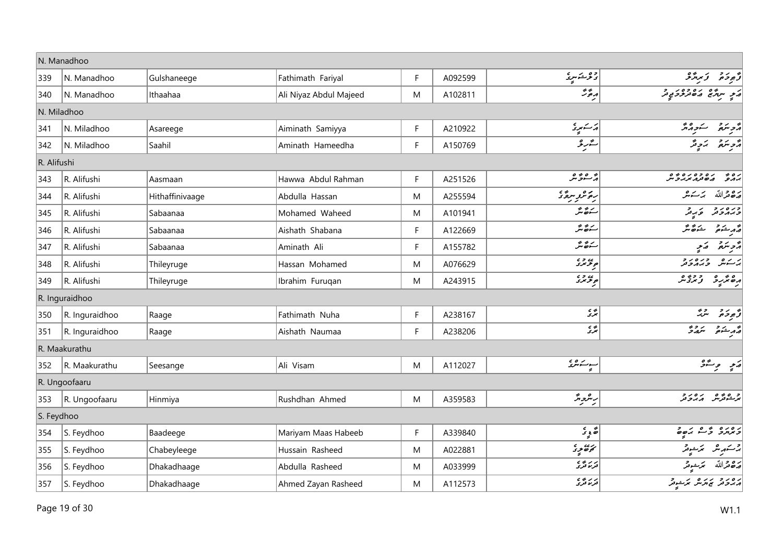|             | N. Manadhoo    |                 |                        |    |         |                                                                                                                     |                                                       |
|-------------|----------------|-----------------|------------------------|----|---------|---------------------------------------------------------------------------------------------------------------------|-------------------------------------------------------|
| 339         | N. Manadhoo    | Gulshaneege     | Fathimath Fariyal      | F. | A092599 | ر و شکور د کار دیگر<br>د کار موسیقی کار در کار در کار در کار در کار در کار در کار کار دیگر در کار در کار در کار کار |                                                       |
| 340         | N. Manadhoo    | Ithaahaa        | Ali Niyaz Abdul Majeed | M  | A102811 | ەرچە                                                                                                                |                                                       |
|             | N. Miladhoo    |                 |                        |    |         |                                                                                                                     |                                                       |
| 341         | N. Miladhoo    | Asareege        | Aiminath Samiyya       | F. | A210922 | ېر کے بیری<br>پ                                                                                                     | أأرجع المستوراة                                       |
| 342         | N. Miladhoo    | Saahil          | Aminath Hameedha       | F  | A150769 | سەرىۋ                                                                                                               | مُ حِسَمَةٌ مَجِعَّدٌ                                 |
| R. Alifushi |                |                 |                        |    |         |                                                                                                                     |                                                       |
| 343         | R. Alifushi    | Aasmaan         | Hawwa Abdul Rahman     | F  | A251526 | ۇ شۇ ئە                                                                                                             | ره ده ده ده ده ده<br>برمو می هنرم مربر <del>د</del> س |
| 344         | R. Alifushi    | Hithaffinivaage | Abdulla Hassan         | M  | A255594 | رە تروپىرە ئ                                                                                                        | مَە قىراللە ئەسكەنلە                                  |
| 345         | R. Alifushi    | Sabaanaa        | Mohamed Waheed         | M  | A101941 | ئە ئە                                                                                                               | وره دو کرد                                            |
| 346         | R. Alifushi    | Sabaanaa        | Aishath Shabana        | F. | A122669 | ر پر پر<br>سوچ سر                                                                                                   | أمار ويتمام المستوقة المر                             |
| 347         | R. Alifushi    | Sabaanaa        | Aminath Ali            | F  | A155782 | ر پە پە                                                                                                             | أزوينهم أربح                                          |
| 348         | R. Alifushi    | Thileyruge      | Hassan Mohamed         | M  | A076629 | ر، د ،<br>مومومرد                                                                                                   | يركبش وره رو                                          |
| 349         | R. Alifushi    | Thileyruge      | Ibrahim Furuqan        | M  | A243915 | <br> موځر مرد                                                                                                       | رەپرىرو زىرتىر                                        |
|             | R. Inguraidhoo |                 |                        |    |         |                                                                                                                     |                                                       |
| 350         | R. Inguraidhoo | Raage           | Fathimath Nuha         | F  | A238167 | پر<br>برگ                                                                                                           | توجوحو شرم                                            |
| 351         | R. Inguraidhoo | Raage           | Aishath Naumaa         | F  | A238206 | چ م<br>بخری                                                                                                         | $52 - 32 - 52$                                        |
|             | R. Maakurathu  |                 |                        |    |         |                                                                                                                     |                                                       |
| 352         | R. Maakurathu  | Seesange        | Ali Visam              | M  | A112027 | سوسەھدى                                                                                                             | أەينى بەر يە                                          |
|             | R. Ungoofaaru  |                 |                        |    |         |                                                                                                                     |                                                       |
| 353         | R. Ungoofaaru  | Hinmiya         | Rushdhan Ahmed         | M  | A359583 | ىر بىر بىر ئىر                                                                                                      | و ه ده د د د د<br>پرڅونرس مرکز تر                     |
| S. Feydhoo  |                |                 |                        |    |         |                                                                                                                     |                                                       |
| 354         | S. Feydhoo     | Baadeege        | Mariyam Maas Habeeb    | F  | A339840 | په دي<br>خونه                                                                                                       | ג בינות כ"כ הם ב                                      |
| 355         | S. Feydhoo     | Chabeyleege     | Hussain Rasheed        | M  | A022881 | رين<br>کوه مو د                                                                                                     | وحسكمر مكر الكراشوقر                                  |
| 356         | S. Feydhoo     | Dhakadhaage     | Abdulla Rasheed        | M  | A033999 | ىر رىچە ئ<br>قىرىم قىرى                                                                                             | مَدْهِ مِّرْ سَبِيْدِ مِّرْ                           |
| 357         | S. Feydhoo     | Dhakadhaage     | Ahmed Zayan Rasheed    | M  | A112573 | ر ر پر پر<br>توما توی                                                                                               | رەر دېرىر مەشدىر                                      |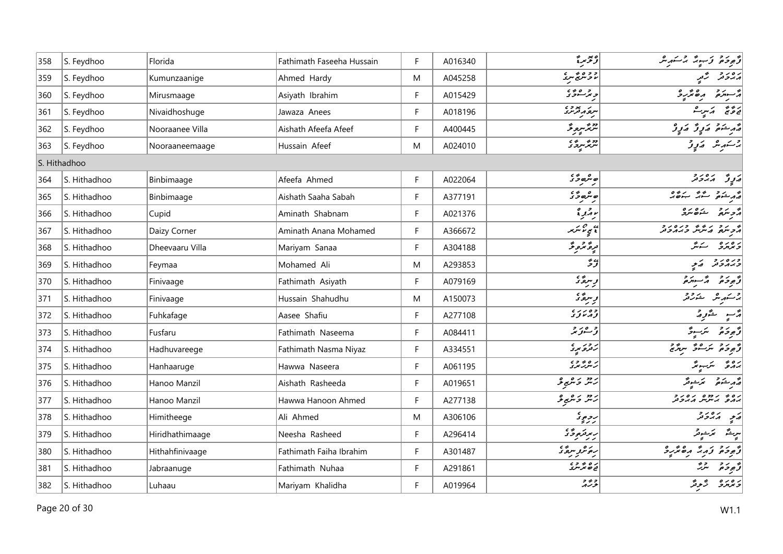| 358 | S. Feydhoo   | Florida         | Fathimath Faseeha Hussain | F         | A016340 | وسمير په                                        | وتجوفهم وسوش برسكره                        |
|-----|--------------|-----------------|---------------------------|-----------|---------|-------------------------------------------------|--------------------------------------------|
| 359 | S. Feydhoo   | Kumunzaanige    | Ahmed Hardy               | M         | A045258 | د د ه ه پورځ<br>پانو شرچ سرچ                    | پروژو گېږ                                  |
| 360 | S. Feydhoo   | Mirusmaage      | Asiyath Ibrahim           | F         | A015429 | د برگوري<br>د برگوري                            |                                            |
| 361 | S. Feydhoo   | Nivaidhoshuge   | Jawaza Anees              | F         | A018196 | سرە مەدىرى<br>سىرە ئىرىرى                       | رويج كاسرت                                 |
| 362 | S. Feydhoo   | Nooraanee Villa | Aishath Afeefa Afeef      | F         | A400445 | ئىر ئەسرە ئ <sup>ى</sup> ر<br>  ئىسرىيە ئىسرىيە | وأرجأة وأوالم وأوالي                       |
| 363 | S. Feydhoo   | Nooraaneemaage  | Hussain Afeef             | M         | A024010 | دو په دې                                        | 2 سەر شەر ئەرى                             |
|     | S. Hithadhoo |                 |                           |           |         |                                                 |                                            |
| 364 | S. Hithadhoo | Binbimaage      | Afeefa Ahmed              | F         | A022064 | ە ئىرە ئەت<br>م                                 | أە ئۇ ئۇ ئەسىر ئە                          |
| 365 | S. Hithadhoo | Binbimaage      | Aishath Saaha Sabah       | F         | A377191 | ه شهر د ،<br>د شهر د                            | أقرم شوه كشبر بده و                        |
| 366 | S. Hithadhoo | Cupid           | Aminath Shabnam           | F         | A021376 | بروجره                                          | $rac{1}{2}$                                |
| 367 | S. Hithadhoo | Daizy Corner    | Aminath Anana Mohamed     | F.        | A366672 | <br> } يې تذکير                                 | ه در د د بود در در د                       |
| 368 | S. Hithadhoo | Dheevaaru Villa | Mariyam Sanaa             | F         | A304188 | مرءٌ مَرْء ِ مَرَّ                              | ره ره کش                                   |
| 369 | S. Hithadhoo | Feymaa          | Mohamed Ali               | ${\sf M}$ | A293853 | تۇنج                                            | ورەر دىج                                   |
| 370 | S. Hithadhoo | Finivaage       | Fathimath Asiyath         | F         | A079169 | و سرچ ی<br>تر سرچ <sub>ک</sub>                  | أوجوحه أوسيره                              |
| 371 | S. Hithadhoo | Finivaage       | Hussain Shahudhu          | M         | A150073 | وسرچء                                           | ج ڪ <sub>م</sub> ريش ڪرميز<br>سڪيريش ڪرميز |
| 372 | S. Hithadhoo | Fuhkafage       | Aasee Shafiu              | F         | A277108 | و ە ر ر ،<br>تى پر ئىس ئ                        | ۇپ شۇرۇ                                    |
| 373 | S. Hithadhoo | Fusfaru         | Fathimath Naseema         | F         | A084411 | د حرم د                                         | و دو سرب                                   |
| 374 | S. Hithadhoo | Hadhuvareege    | Fathimath Nasma Niyaz     | F         | A334551 | ر ور<br>رکو <i>نو</i> <sub>مح</sub> رد          | تحج و حرم مراجع المحمد                     |
| 375 | S. Hithadhoo | Hanhaaruge      | Hawwa Naseera             | F         | A061195 | ر ۵ و و ۷<br>رسورتر                             | رەپ سەببەتر                                |
| 376 | S. Hithadhoo | Hanoo Manzil    | Aishath Rasheeda          | F         | A019651 | رُنْزُ دَنْرْ وَ                                | أقهر مشكاة والمتمر تكريني                  |
| 377 | S. Hithadhoo | Hanoo Manzil    | Hawwa Hanoon Ahmed        | F         | A277138 | رَيْرٌ وَبْرَىٰ وَ                              | י ס ש יכנס ייסיק ב<br>החפ"ה ייתיית ההכנת   |
| 378 | S. Hithadhoo | Himitheege      | Ali Ahmed                 | M         | A306106 | ر و هو د<br>ر ريو                               | أتكمي المركز والمحمد                       |
| 379 | S. Hithadhoo | Hiridhathimaage | Neesha Rasheed            | F         | A296414 | ر بروگرم <sup>و</sup> ؟<br>ر                    | سرينگ   <sub>محرشو</sub> تر<br> -          |
| 380 | S. Hithadhoo | Hithahfinivaage | Fathimath Faiha Ibrahim   | F         | A301487 | رەڭروپىرەتچ                                     | وجوده ومد مصر                              |
| 381 | S. Hithadhoo | Jabraanuge      | Fathimath Nuhaa           | F         | A291861 | ر ۵ پر و ۷<br>بع ن مرسری                        | و محمود المحمد المحمد                      |
| 382 | S. Hithadhoo | Luhaau          | Mariyam Khalidha          | F         | A019964 | و ه و<br>مرگ                                    | دەرە ئەدەگ                                 |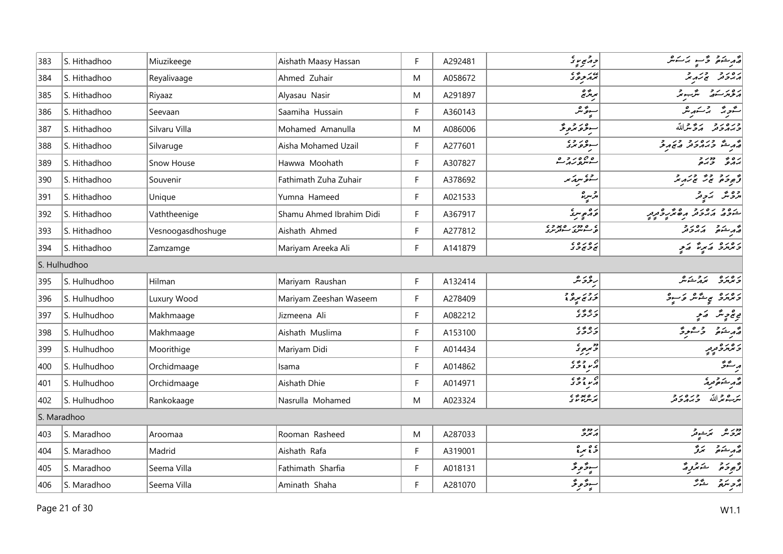| 383 | S. Hithadhoo | Miuzikeege        | Aishath Maasy Hassan     | F.          | A292481 | حەدثى بىرى<br>ب                          | ەربىئە ئەس ئاسكى                                 |
|-----|--------------|-------------------|--------------------------|-------------|---------|------------------------------------------|--------------------------------------------------|
| 384 | S. Hithadhoo | Reyalivaage       | Ahmed Zuhair             | M           | A058672 | ں ر<br>مزد ترہ ت                         | ره رو ور د                                       |
| 385 | S. Hithadhoo | Riyaaz            | Alyasau Nasir            | M           | A291897 | بردشج                                    | رەرىرە شەر                                       |
| 386 | S. Hithadhoo | Seevaan           | Saamiha Hussain          | F           | A360143 | سوڠ بېر                                  | ستورژ برستهرین                                   |
| 387 | S. Hithadhoo | Silvaru Villa     | Mohamed Amanulla         | M           | A086006 | سەۋە ئىرە ۋ                              | ورەرو بەۋىتراللە                                 |
| 388 | S. Hithadhoo | Silvaruge         | Aisha Mohamed Uzail      | F.          | A277601 | سوڅر وي                                  | و ديگر در در در در در د                          |
| 389 | S. Hithadhoo | Snow House        | Hawwa Moohath            | F           | A307827 | <u>ه ۶</u> ۷۵ ور و ه                     | ره په دور د<br>برامرو کوبرو                      |
| 390 | S. Hithadhoo | Souvenir          | Fathimath Zuha Zuhair    | $\mathsf F$ | A378692 | قىق ئىرى <i>مى</i> ر                     | توجده بالملح بمنها                               |
| 391 | S. Hithadhoo | Unique            | Yumna Hameed             | $\mathsf F$ | A021533 | و سررا<br>مر                             | أتروش بروتر                                      |
| 392 | S. Hithadhoo | Vaththeenige      | Shamu Ahmed Ibrahim Didi | F           | A367917 | ره <sub>موسر</sub> ءِ                    | أشوحها مدونه مهام مرومين                         |
| 393 | S. Hithadhoo | Vesnoogasdhoshuge | Aishath Ahmed            | F           | A277812 | ه ده دور ده دو ده<br>در سوسری سوترمرد    |                                                  |
| 394 | S. Hithadhoo | Zamzamge          | Mariyam Areeka Ali       | F.          | A141879 |                                          | و وره در پرتا در                                 |
|     | S. Hulhudhoo |                   |                          |             |         |                                          |                                                  |
| 395 | S. Hulhudhoo | Hilman            | Mariyam Raushan          | F           | A132414 | لروځ مګر                                 | دەرە بروشكە                                      |
| 396 | S. Hulhudhoo | Luxury Wood       | Mariyam Zeeshan Waseem   | F           | A278409 | ىز دىر دە د                              | دەرە بېشش ۋىدۇ                                   |
| 397 | S. Hulhudhoo | Makhmaage         | Jizmeena Ali             | F.          | A082212 | ر ه و ،<br><del>د</del> ز <del>د</del> د |                                                  |
| 398 | S. Hulhudhoo | Makhmaage         | Aishath Muslima          | $\mathsf F$ | A153100 | ر ه و ،<br><del>د</del> رقمه             |                                                  |
| 399 | S. Hulhudhoo | Moorithige        | Mariyam Didi             | F.          | A014434 | دد<br>تر سرجو ت                          | <br>  تر چربر 3 در در                            |
| 400 | S. Hulhudhoo | Orchidmaage       | Isama                    | $\mathsf F$ | A014862 | ه د وه و<br>مربو د د                     | وسشرة                                            |
| 401 | S. Hulhudhoo | Orchidmaage       | Aishath Dhie             | F           | A014971 | ه د ده و<br>مرد د د                      | و گهر ڪوچو پر گه<br>م                            |
| 402 | S. Hulhudhoo | Rankokaage        | Nasrulla Mohamed         | M           | A023324 | ر ەيدىر<br>بىرس ما ي                     | و رە ر د<br>تر پەر تە<br>ىربە براللە             |
|     | S. Maradhoo  |                   |                          |             |         |                                          |                                                  |
| 403 | S. Maradhoo  | Aroomaa           | Rooman Rasheed           | M           | A287033 | ر دو پر<br>در بر <del>ر</del>            | پر <sub>چرىمى</sub> كېمىشونتر<br>  <i>پرچ</i> ىش |
| 404 | S. Maradhoo  | Madrid            | Aishath Rafa             | F           | A319001 | ه و و و<br>حرة سرة                       |                                                  |
| 405 | S. Maradhoo  | Seema Villa       | Fathimath Sharfia        | F.          | A018131 | سىدۇرۇ<br>ئ                              | ومودة المتعروم                                   |
| 406 | S. Maradhoo  | Seema Villa       | Aminath Shaha            | F.          | A281070 | سوڈ وِ ڈ                                 | أروبتهم المشر                                    |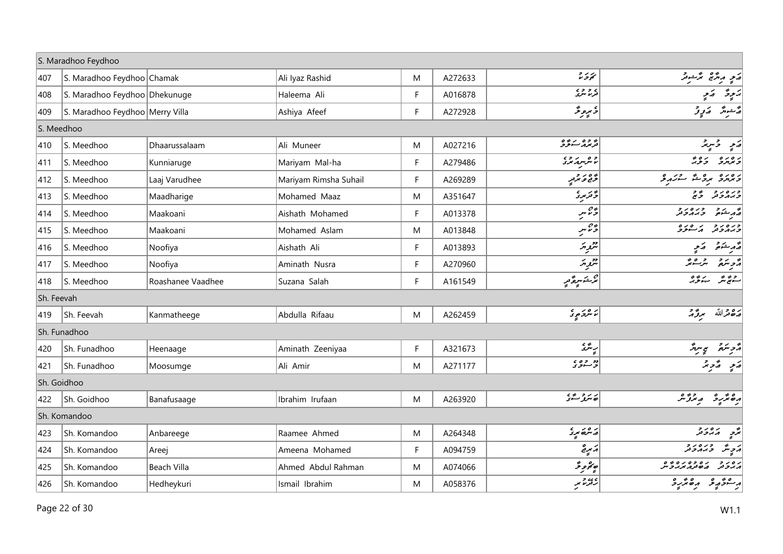|            | S. Maradhoo Feydhoo             |                    |                       |             |         |                                       |                                                                                                                                                                                                                                     |
|------------|---------------------------------|--------------------|-----------------------|-------------|---------|---------------------------------------|-------------------------------------------------------------------------------------------------------------------------------------------------------------------------------------------------------------------------------------|
| 407        | S. Maradhoo Feydhoo Chamak      |                    | Ali Iyaz Rashid       | M           | A272633 | ىردىر                                 |                                                                                                                                                                                                                                     |
| 408        | S. Maradhoo Feydhoo Dhekunuge   |                    | Haleema Ali           | F           | A016878 | ، و و ،<br>تور سری                    | أيام أو أو أيضر من المحمد المحمد المحمد المحمد المحمد المحمد المحمد المحمد المحمد المحمد المحمد المحمد المحمد<br>أو المحمد المحمد المحمد المحمد المحمد المحمد المحمد المحمد المحمد المحمد المحمد المحمد المحمد المحمد المحمد ال<br> |
| 409        | S. Maradhoo Feydhoo Merry Villa |                    | Ashiya Afeef          | F           | A272928 | ء <i>ڻ پره پ</i> ڙ                    |                                                                                                                                                                                                                                     |
|            | S. Meedhoo                      |                    |                       |             |         |                                       |                                                                                                                                                                                                                                     |
| 410        | S. Meedhoo                      | Dhaarussalaam      | Ali Muneer            | M           | A027216 | ء وه ريده<br>تربرد سنوگر              | أەي ئېرىد                                                                                                                                                                                                                           |
| 411        | S. Meedhoo                      | Kunniaruge         | Mariyam Mal-ha        | F           | A279486 | و ه سر سر و ،<br>ما سر سر تمر د       | ر ه بر ه<br><del>د</del> بربرگر                                                                                                                                                                                                     |
| 412        | S. Meedhoo                      | Laaj Varudhee      | Mariyam Rimsha Suhail | $\mathsf F$ | A269289 | ترە ئە ئەدىر                          | ىرۇڭ سەزر بۇ<br>ر ه ر ه<br><del>د</del> بربرگر                                                                                                                                                                                      |
| 413        | S. Meedhoo                      | Maadharige         | Mohamed Maaz          | M           | A351647 | ۇ ئەرىپە ئ                            | و ر ه ر د<br><del>و</del> بر پر <del>و</del> ر<br>رحج                                                                                                                                                                               |
| 414        | S. Meedhoo                      | Maakoani           | Aishath Mohamed       | F           | A013378 | اقتقسيه                               | و ره ر و<br><i>و پر</i> و تر<br>و.<br>در کرد شوی                                                                                                                                                                                    |
| 415        | S. Meedhoo                      | Maakoani           | Mohamed Aslam         | M           | A013848 | اقتقسيه                               | و ر ە ر د<br>ق بر پر ق تر<br>برعزو                                                                                                                                                                                                  |
| 416        | S. Meedhoo                      | Noofiya            | Aishath Ali           | F           | A013893 | يتنوبر                                | أقهر يشقى أقدمي                                                                                                                                                                                                                     |
| 417        | S. Meedhoo                      | Noofiya            | Aminath Nusra         | F.          | A270960 | يتندبر                                | ىترىشىتر<br>ۇ يەسىر<br>مەس                                                                                                                                                                                                          |
| 418        | S. Meedhoo                      | Roashanee Vaadhee  | Suzana Salah          | E           | A161549 | چرىشە <sub>موھ</sub> گ <sup>ى</sup> ر | 2 مۇش بە <i>ي بۇ</i> ر                                                                                                                                                                                                              |
| Sh. Feevah |                                 |                    |                       |             |         |                                       |                                                                                                                                                                                                                                     |
| 419        | Sh. Feevah                      | Kanmatheege        | Abdulla Rifaau        | M           | A262459 | ر هر <sub>د پ</sub> ه                 | بروم<br>صقعرالله                                                                                                                                                                                                                    |
|            | Sh. Funadhoo                    |                    |                       |             |         |                                       |                                                                                                                                                                                                                                     |
| 420        | Sh. Funadhoo                    | Heenaage           | Aminath Zeeniyaa      | F           | A321673 | ریٹری<br>پرسری                        | أأدبتكم بمجامعة                                                                                                                                                                                                                     |
| 421        | Sh. Funadhoo                    | Moosumge           | Ali Amir              | M           | A271177 | دد و ه ی<br>تر سوی                    | ړې پر د                                                                                                                                                                                                                             |
|            | Sh. Goidhoo                     |                    |                       |             |         |                                       |                                                                                                                                                                                                                                     |
| 422        | Sh. Goidhoo                     | Banafusaage        | Ibrahim Irufaan       | M           | A263920 | ە ئىروپىيى<br>ھەمرىي سىرى             | مەھەر ئەمەر ئىر                                                                                                                                                                                                                     |
|            | Sh. Komandoo                    |                    |                       |             |         |                                       |                                                                                                                                                                                                                                     |
| 423        | Sh. Komandoo                    | Anbareege          | Raamee Ahmed          | ${\sf M}$   | A264348 | ەكتىھەتبەتى                           | پژ <sub>ح</sub> کرمرو در                                                                                                                                                                                                            |
| 424        | Sh. Komandoo                    | Areej              | Ameena Mohamed        | F           | A094759 | پر<br>پرسمي                           | و ر ه ر و<br>تر پروتر                                                                                                                                                                                                               |
| 425        | Sh. Komandoo                    | <b>Beach Villa</b> | Ahmed Abdul Rahman    | M           | A074066 | ھەمچەمە ئىگە<br>ئ                     |                                                                                                                                                                                                                                     |
| 426        | Sh. Komandoo                    | Hedheykuri         | Ismail Ibrahim        | M           | A058376 | ه ده و<br>رنوما مو                    | وحدوية وقنزرد                                                                                                                                                                                                                       |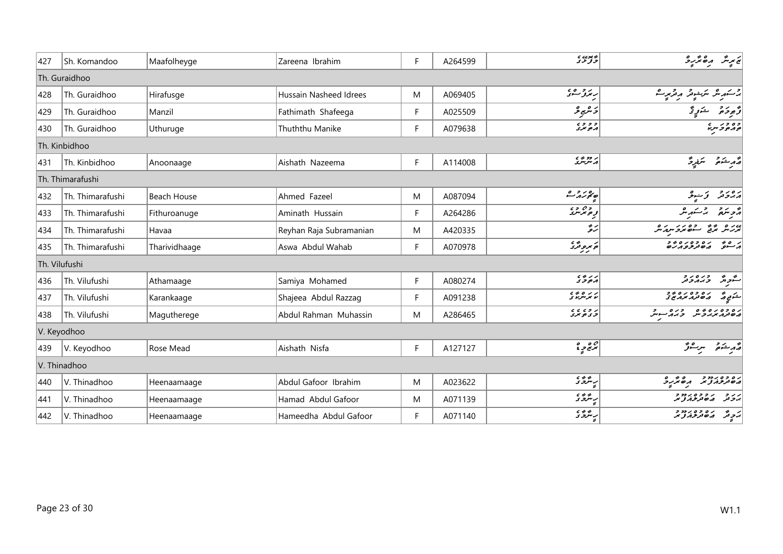| 427 | Sh. Komandoo     | Maafolheyge        | Zareena Ibrahim         | F  | A264599 | ه برن ،<br>و و د د                | ىم برىتر بەھ ئرىرى                                               |
|-----|------------------|--------------------|-------------------------|----|---------|-----------------------------------|------------------------------------------------------------------|
|     | Th. Guraidhoo    |                    |                         |    |         |                                   |                                                                  |
| 428 | Th. Guraidhoo    | Hirafusge          | Hussain Nasheed Idrees  | M  | A069405 | رىمە ۋە ھەمج                      |                                                                  |
| 429 | Th. Guraidhoo    | Manzil             | Fathimath Shafeega      | F  | A025509 | 5 ئىرى پى                         | وَجوحَمْ شَوَرٍ وَ                                               |
| 430 | Th. Guraidhoo    | Uthuruge           | <b>Thuththu Manike</b>  | F  | A079638 | د د د د<br>مرح برد                | وه ور<br>موړمونه سربا                                            |
|     | Th. Kinbidhoo    |                    |                         |    |         |                                   |                                                                  |
| 431 | Th. Kinbidhoo    | Anoonaage          | Aishath Nazeema         | F. | A114008 | بر دو د پر<br>هرسرس               | أشرك منتور                                                       |
|     | Th. Thimarafushi |                    |                         |    |         |                                   |                                                                  |
| 432 | Th. Thimarafushi | <b>Beach House</b> | Ahmed Fazeel            | M  | A087094 | ھەممەر 2                          | پروژو<br>تى سىدى                                                 |
| 433 | Th. Thimarafushi | Fithuroanuge       | Aminath Hussain         | F. | A264286 | و ۵ و ۷<br>و ه مرس                | ړ د سره                                                          |
| 434 | Th. Thimarafushi | Havaa              | Reyhan Raja Subramanian | M  | A420335 | رپچ                               | ے دہ دی ۔ دہ در دی۔<br>ترر س ترقی سوھ ترو سرکر س                 |
| 435 | Th. Thimarafushi | Tharividhaage      | Aswa Abdul Wahab        | F. | A070978 | ئەسرە قرى                         | ر ه د و ر ه د د<br>پره تر تر هر ره<br>ىر ھۇ                      |
|     | Th. Vilufushi    |                    |                         |    |         |                                   |                                                                  |
| 436 | Th. Vilufushi    | Athamaage          | Samiya Mohamed          | F  | A080274 | ر ر د »<br>د ه د د                | و ره ر و<br>تر پر تر تر<br>شەرەپى                                |
| 437 | Th. Vilufushi    | Karankaage         | Shajeea Abdul Razzag    | F. | A091238 | ر ره و د ،<br>ما نیرس د           | سنكور<br>ر ٥ ر ٥ ر ٥ ر <del>٥</del><br>پرھ تو ۾ مورم ج تح        |
| 438 | Th. Vilufushi    | Magutherege        | Abdul Rahman Muhassin   | M  | A286465 | ر و ، ، ،<br>تر د حر پر د         | ره وه ره ده به دره در در<br>پره تربر بر سر بر بر را برگر         |
|     | V. Keyodhoo      |                    |                         |    |         |                                   |                                                                  |
| 439 | V. Keyodhoo      | Rose Mead          | Aishath Nisfa           | F  | A127127 | ەرە جەم<br>ئىرىنى جەنج            | ە ئەر شەھ ئىس سرىسى ئوگ                                          |
|     | V. Thinadhoo     |                    |                         |    |         |                                   |                                                                  |
| 440 | V. Thinadhoo     | Heenaamaage        | Abdul Gafoor Ibrahim    | M  | A023622 | ر پور د<br>بر سرچ <sub>ک</sub>    | ەھ ئۆرۈ<br>ر ٥ ۶ ٥ ٥ ۶ ٠ م.<br>پرڪ تر <del>تر</del> تر س         |
| 441 | V. Thinadhoo     | Heenaamaage        | Hamad Abdul Gafoor      | M  | A071139 | ر پژو <sup>ي</sup>                | ر و و ه ر دو و<br>پرې تورنو تو بو<br>ر ر د<br>پر <del>د</del> تر |
| 442 | V. Thinadhoo     | Heenaamaage        | Hameedha Abdul Gafoor   | F. | A071140 | ر پیوندی<br>بر متر <del>و</del> و | بر در دود و<br>برجه می مرد دی                                    |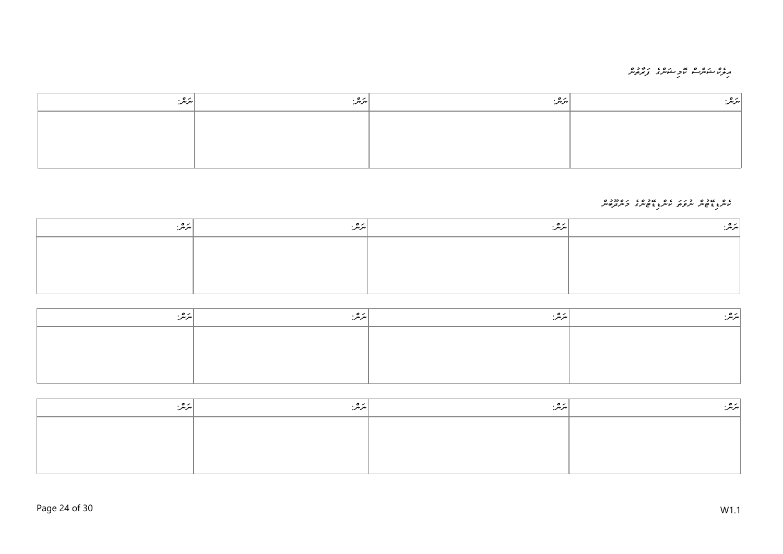## *w7qAn8m? sCw7mRo>u; wEw7mRw;sBo<*

| ' مرمر | 'يئرىثر: |
|--------|----------|
|        |          |
|        |          |
|        |          |

## *w7q9r@w7m> sCw7qHtFoFw7s; mAm=q7 w7qHtFoFw7s;*

| ىر تە | $\mathcal{O} \times$<br>$\sim$ | $\sim$<br>. . | لترنثر |
|-------|--------------------------------|---------------|--------|
|       |                                |               |        |
|       |                                |               |        |
|       |                                |               |        |

| يره | $^{\circ}$ | $\frac{2}{n}$ | $^{\circ}$<br>سرسر. |
|-----|------------|---------------|---------------------|
|     |            |               |                     |
|     |            |               |                     |
|     |            |               |                     |

| ' ئىرتىر: | سر سر |  |
|-----------|-------|--|
|           |       |  |
|           |       |  |
|           |       |  |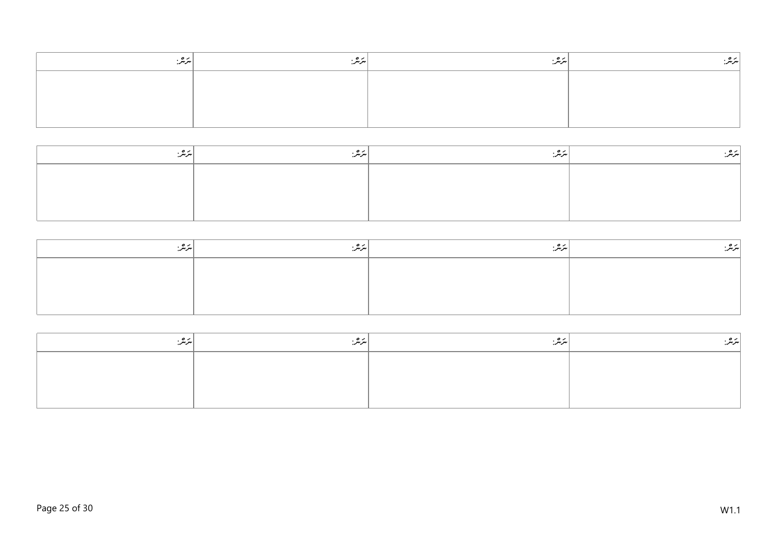| يره. | ο. | ا ير ه |  |
|------|----|--------|--|
|      |    |        |  |
|      |    |        |  |
|      |    |        |  |

| متريثر به | 。<br>'سرسر'۔ | يتزيترا | سرسر |
|-----------|--------------|---------|------|
|           |              |         |      |
|           |              |         |      |
|           |              |         |      |

| ىئرىتر. | $\sim$ | ا بر هه. | لىرىش |
|---------|--------|----------|-------|
|         |        |          |       |
|         |        |          |       |
|         |        |          |       |

| 。<br>مرس. | $\overline{\phantom{a}}$<br>مر مىر | يتريثر |
|-----------|------------------------------------|--------|
|           |                                    |        |
|           |                                    |        |
|           |                                    |        |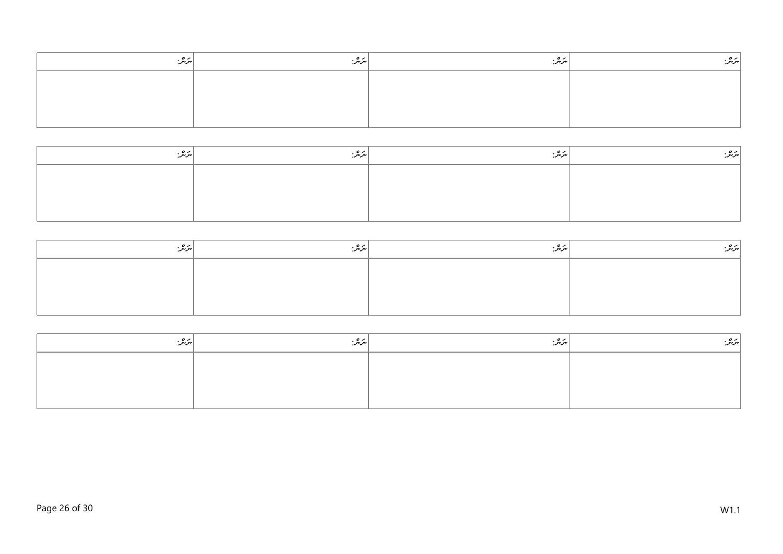| ير هو . | $\overline{\phantom{a}}$ | يرمر | اير هنه. |
|---------|--------------------------|------|----------|
|         |                          |      |          |
|         |                          |      |          |
|         |                          |      |          |

| ىر تىر: | $\circ$ $\sim$<br>" سرسر . | يبرحه | o . |
|---------|----------------------------|-------|-----|
|         |                            |       |     |
|         |                            |       |     |
|         |                            |       |     |

| انترنثر: | ر ه |  |
|----------|-----|--|
|          |     |  |
|          |     |  |
|          |     |  |

|  | . ه |
|--|-----|
|  |     |
|  |     |
|  |     |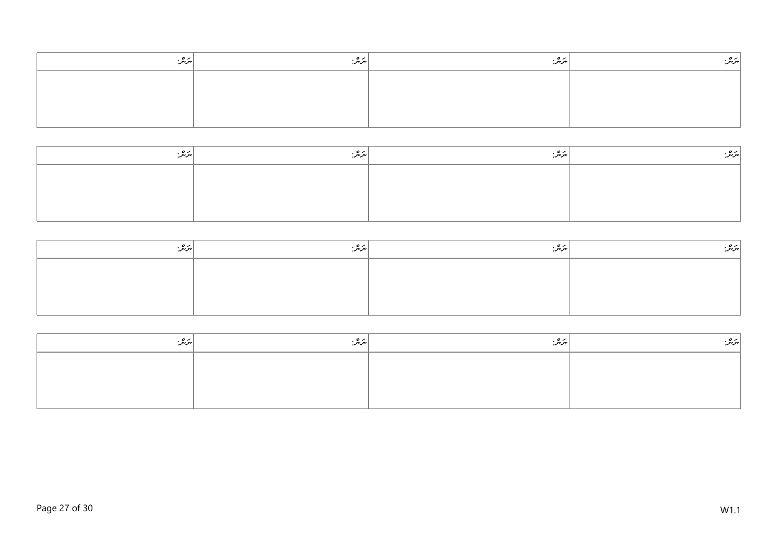| ير هو . | $\overline{\phantom{a}}$ | يرمر | اير هنه. |
|---------|--------------------------|------|----------|
|         |                          |      |          |
|         |                          |      |          |
|         |                          |      |          |

| ىر تىر: | $\circ$ $\sim$<br>" سرسر . | يبرحه | o . |
|---------|----------------------------|-------|-----|
|         |                            |       |     |
|         |                            |       |     |
|         |                            |       |     |

| انترنثر: | ر ه |  |
|----------|-----|--|
|          |     |  |
|          |     |  |
|          |     |  |

|  | . ه |
|--|-----|
|  |     |
|  |     |
|  |     |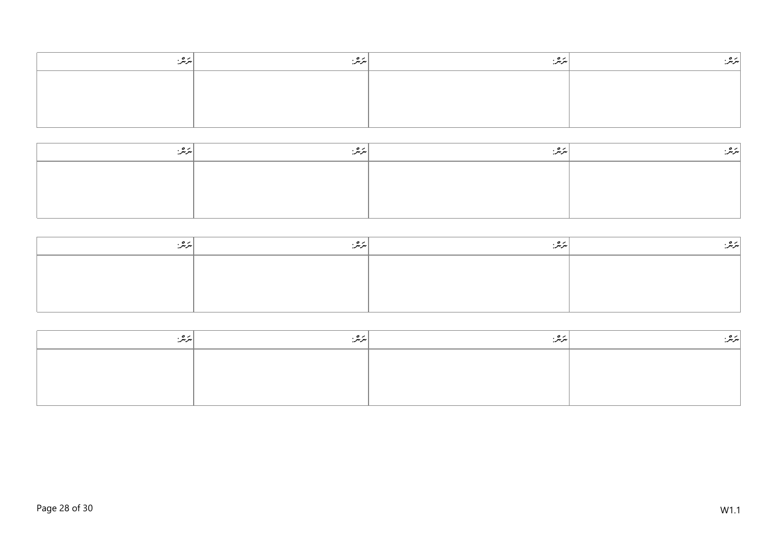| $\cdot$ | ο. | $\frac{\circ}{\cdot}$ | $\sim$<br>سرسر |
|---------|----|-----------------------|----------------|
|         |    |                       |                |
|         |    |                       |                |
|         |    |                       |                |

| ايرعر: | ر ه<br>. . |  |
|--------|------------|--|
|        |            |  |
|        |            |  |
|        |            |  |

| بر ه | 。 | $\sim$<br>َ سومس |  |
|------|---|------------------|--|
|      |   |                  |  |
|      |   |                  |  |
|      |   |                  |  |

| 。<br>. س | ىرىىر |  |
|----------|-------|--|
|          |       |  |
|          |       |  |
|          |       |  |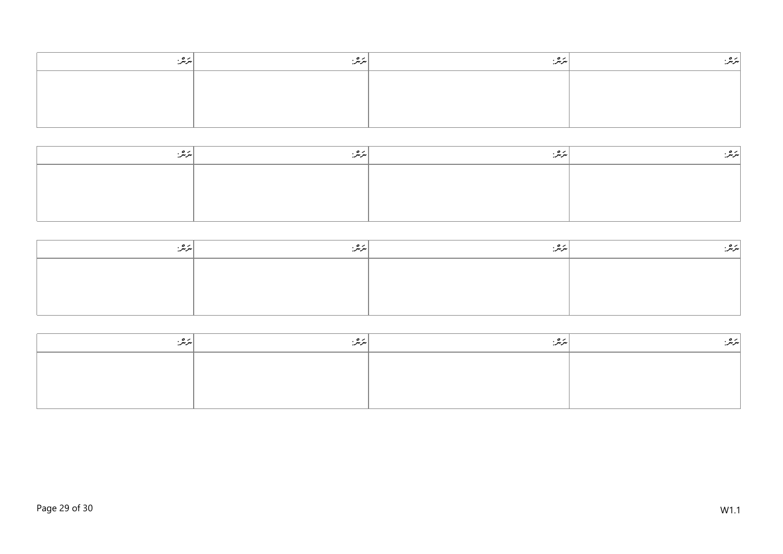| ير هو . | $\overline{\phantom{a}}$ | يرمر | لتزمثن |
|---------|--------------------------|------|--------|
|         |                          |      |        |
|         |                          |      |        |
|         |                          |      |        |

| ئىرتىر: | $\sim$<br>ا سرسر . | يئرمثر | o . |
|---------|--------------------|--------|-----|
|         |                    |        |     |
|         |                    |        |     |
|         |                    |        |     |

| 'تترنثر: | 。<br>,,,, |  |
|----------|-----------|--|
|          |           |  |
|          |           |  |
|          |           |  |

|  | . ه |
|--|-----|
|  |     |
|  |     |
|  |     |